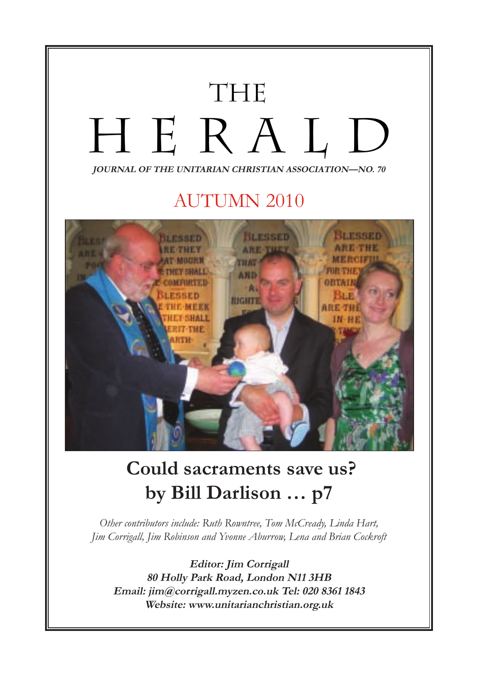

# **by Bill Darlison … p7**

*Other contributors include: Ruth Rowntree, Tom McCready, Linda Hart, Jim Corrigall, Jim Robinson and Yvonne Aburrow, Lena and Brian Cockroft*

**Editor: Jim Corrigall 80 Holly Park Road, London N11 3HB Email: jim@corrigall.myzen.co.uk Tel: 020 8361 1843 Website: www.unitarianchristian.org.uk**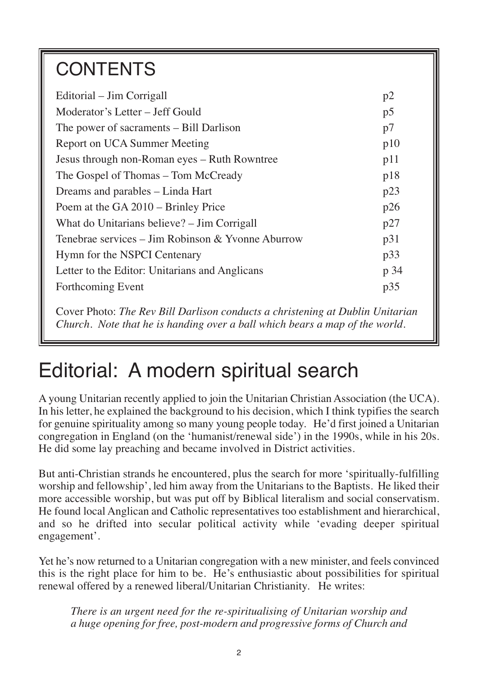## **CONTENTS**

| Editorial – Jim Corrigall                         | p2  |  |
|---------------------------------------------------|-----|--|
| Moderator's Letter – Jeff Gould                   |     |  |
| The power of sacraments – Bill Darlison           |     |  |
| Report on UCA Summer Meeting                      |     |  |
| Jesus through non-Roman eyes - Ruth Rowntree      |     |  |
| The Gospel of Thomas – Tom McCready               |     |  |
| Dreams and parables - Linda Hart                  |     |  |
| Poem at the GA 2010 – Brinley Price               | p26 |  |
| What do Unitarians believe? – Jim Corrigall       |     |  |
| Tenebrae services – Jim Robinson & Yvonne Aburrow |     |  |
| Hymn for the NSPCI Centenary                      |     |  |
| Letter to the Editor: Unitarians and Anglicans    |     |  |
| Forthcoming Event                                 | p35 |  |
|                                                   |     |  |

Cover Photo: *The Rev Bill Darlison conducts a christening at Dublin Unitarian Church. Note that he is handing over a ball which bears a map of the world.*

## Editorial: A modern spiritual search

A young Unitarian recently applied to join the Unitarian Christian Association (the UCA). In his letter, he explained the background to his decision, which I think typifies the search for genuine spirituality among so many young people today. He'd first joined a Unitarian congregation in England (on the 'humanist/renewal side') in the 1990s, while in his 20s. He did some lay preaching and became involved in District activities.

But anti-Christian strands he encountered, plus the search for more 'spiritually-fulfilling worship and fellowship', led him away from the Unitarians to the Baptists. He liked their more accessible worship, but was put off by Biblical literalism and social conservatism. He found local Anglican and Catholic representatives too establishment and hierarchical, and so he drifted into secular political activity while 'evading deeper spiritual engagement'.

Yet he's now returned to a Unitarian congregation with a new minister, and feels convinced this is the right place for him to be. He's enthusiastic about possibilities for spiritual renewal offered by a renewed liberal/Unitarian Christianity. He writes:

*There is an urgent need for the re-spiritualising of Unitarian worship and a huge opening for free, post-modern and progressive forms of Church and*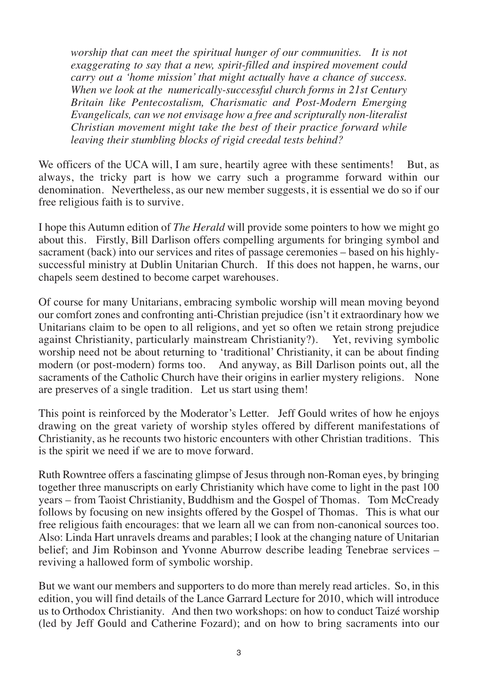*worship that can meet the spiritual hunger of our communities. It is not exaggerating to say that a new, spirit-filled and inspired movement could carry out a 'home mission' that might actually have a chance of success. When we look at the numerically-successful church forms in 21st Century Britain like Pentecostalism, Charismatic and Post-Modern Emerging Evangelicals, can we not envisage how a free and scripturally non-literalist Christian movement might take the best of their practice forward while leaving their stumbling blocks of rigid creedal tests behind?*

We officers of the UCA will, I am sure, heartily agree with these sentiments! But, as always, the tricky part is how we carry such a programme forward within our denomination. Nevertheless, as our new member suggests, it is essential we do so if our free religious faith is to survive.

I hope this Autumn edition of *The Herald* will provide some pointers to how we might go about this. Firstly, Bill Darlison offers compelling arguments for bringing symbol and sacrament (back) into our services and rites of passage ceremonies – based on his highlysuccessful ministry at Dublin Unitarian Church. If this does not happen, he warns, our chapels seem destined to become carpet warehouses.

Of course for many Unitarians, embracing symbolic worship will mean moving beyond our comfort zones and confronting anti-Christian prejudice (isn't it extraordinary how we Unitarians claim to be open to all religions, and yet so often we retain strong prejudice against Christianity, particularly mainstream Christianity?). Yet, reviving symbolic worship need not be about returning to 'traditional' Christianity, it can be about finding modern (or post-modern) forms too. And anyway, as Bill Darlison points out, all the sacraments of the Catholic Church have their origins in earlier mystery religions. None are preserves of a single tradition. Let us start using them!

This point is reinforced by the Moderator's Letter. Jeff Gould writes of how he enjoys drawing on the great variety of worship styles offered by different manifestations of Christianity, as he recounts two historic encounters with other Christian traditions. This is the spirit we need if we are to move forward.

Ruth Rowntree offers a fascinating glimpse of Jesus through non-Roman eyes, by bringing together three manuscripts on early Christianity which have come to light in the past 100 years – from Taoist Christianity, Buddhism and the Gospel of Thomas. Tom McCready follows by focusing on new insights offered by the Gospel of Thomas. This is what our free religious faith encourages: that we learn all we can from non-canonical sources too. Also: Linda Hart unravels dreams and parables; I look at the changing nature of Unitarian belief; and Jim Robinson and Yvonne Aburrow describe leading Tenebrae services – reviving a hallowed form of symbolic worship.

But we want our members and supporters to do more than merely read articles. So, in this edition, you will find details of the Lance Garrard Lecture for 2010, which will introduce us to Orthodox Christianity. And then two workshops: on how to conduct Taizé worship (led by Jeff Gould and Catherine Fozard); and on how to bring sacraments into our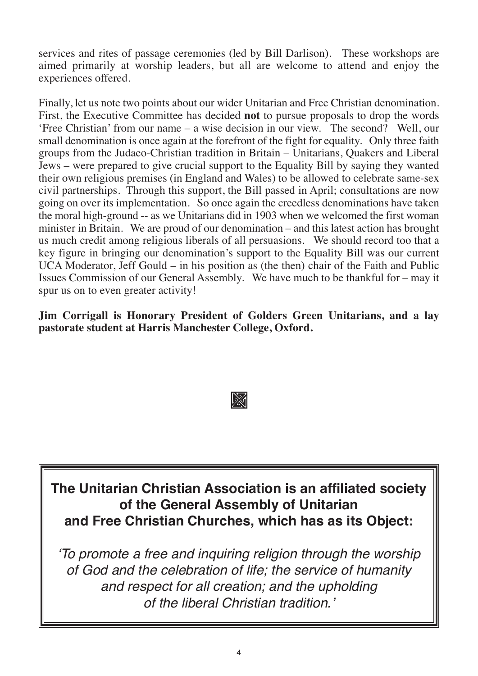services and rites of passage ceremonies (led by Bill Darlison). These workshops are aimed primarily at worship leaders, but all are welcome to attend and enjoy the experiences offered.

Finally, let us note two points about our wider Unitarian and Free Christian denomination. First, the Executive Committee has decided **not** to pursue proposals to drop the words 'Free Christian' from our name – a wise decision in our view. The second? Well, our small denomination is once again at the forefront of the fight for equality. Only three faith groups from the Judaeo-Christian tradition in Britain – Unitarians, Quakers and Liberal Jews – were prepared to give crucial support to the Equality Bill by saying they wanted their own religious premises (in England and Wales) to be allowed to celebrate same-sex civil partnerships. Through this support, the Bill passed in April; consultations are now going on over its implementation. So once again the creedless denominations have taken the moral high-ground -- as we Unitarians did in 1903 when we welcomed the first woman minister in Britain. We are proud of our denomination – and this latest action has brought us much credit among religious liberals of all persuasions. We should record too that a key figure in bringing our denomination's support to the Equality Bill was our current UCA Moderator, Jeff Gould – in his position as (the then) chair of the Faith and Public Issues Commission of our General Assembly. We have much to be thankful for – may it spur us on to even greater activity!

**Jim Corrigall is Honorary President of Golders Green Unitarians, and a lay pastorate student at Harris Manchester College, Oxford.**



**The Unitarian Christian Association is an affiliated society of the General Assembly of Unitarian and Free Christian Churches, which has as its Object:**

*ʻTo promote a free and inquiring religion through the worship of God and the celebration of life; the service of humanity and respect for all creation; and the upholding of the liberal Christian tradition.'*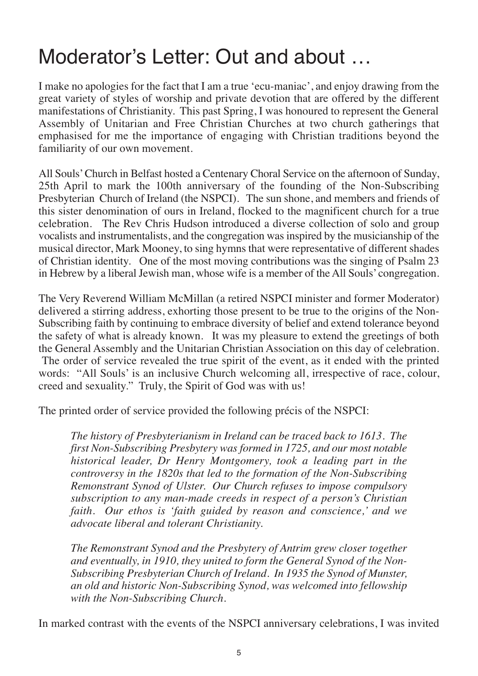## Moderator's Letter: Out and about …

I make no apologies for the fact that I am a true 'ecu-maniac', and enjoy drawing from the great variety of styles of worship and private devotion that are offered by the different manifestations of Christianity. This past Spring, I was honoured to represent the General Assembly of Unitarian and Free Christian Churches at two church gatherings that emphasised for me the importance of engaging with Christian traditions beyond the familiarity of our own movement.

All Souls' Church in Belfast hosted a Centenary Choral Service on the afternoon of Sunday, 25th April to mark the 100th anniversary of the founding of the Non-Subscribing Presbyterian Church of Ireland (the NSPCI). The sun shone, and members and friends of this sister denomination of ours in Ireland, flocked to the magnificent church for a true celebration. The Rev Chris Hudson introduced a diverse collection of solo and group vocalists and instrumentalists, and the congregation was inspired by the musicianship of the musical director, Mark Mooney, to sing hymns that were representative of different shades of Christian identity. One of the most moving contributions was the singing of Psalm 23 in Hebrew by a liberal Jewish man, whose wife is a member of the All Souls' congregation.

The Very Reverend William McMillan (a retired NSPCI minister and former Moderator) delivered a stirring address, exhorting those present to be true to the origins of the Non-Subscribing faith by continuing to embrace diversity of belief and extend tolerance beyond the safety of what is already known. It was my pleasure to extend the greetings of both the General Assembly and the Unitarian Christian Association on this day of celebration. The order of service revealed the true spirit of the event, as it ended with the printed words: "All Souls' is an inclusive Church welcoming all, irrespective of race, colour, creed and sexuality." Truly, the Spirit of God was with us!

The printed order of service provided the following précis of the NSPCI:

*The history of Presbyterianism in Ireland can be traced back to 1613. The first Non-Subscribing Presbytery was formed in 1725, and our most notable historical leader, Dr Henry Montgomery, took a leading part in the controversy in the 1820s that led to the formation of the Non-Subscribing Remonstrant Synod of Ulster. Our Church refuses to impose compulsory subscription to any man-made creeds in respect of a person's Christian faith. Our ethos is 'faith guided by reason and conscience,' and we advocate liberal and tolerant Christianity.*

*The Remonstrant Synod and the Presbytery of Antrim grew closer together and eventually, in 1910, they united to form the General Synod of the Non-Subscribing Presbyterian Church of Ireland. In 1935 the Synod of Munster, an old and historic Non-Subscribing Synod, was welcomed into fellowship with the Non-Subscribing Church.*

In marked contrast with the events of the NSPCI anniversary celebrations, I was invited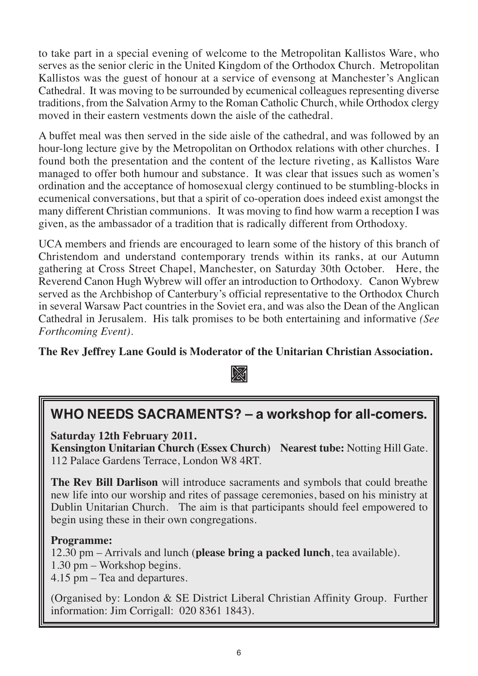to take part in a special evening of welcome to the Metropolitan Kallistos Ware, who serves as the senior cleric in the United Kingdom of the Orthodox Church. Metropolitan Kallistos was the guest of honour at a service of evensong at Manchester's Anglican Cathedral. It was moving to be surrounded by ecumenical colleagues representing diverse traditions, from the Salvation Army to the Roman Catholic Church, while Orthodox clergy moved in their eastern vestments down the aisle of the cathedral.

A buffet meal was then served in the side aisle of the cathedral, and was followed by an hour-long lecture give by the Metropolitan on Orthodox relations with other churches. I found both the presentation and the content of the lecture riveting, as Kallistos Ware managed to offer both humour and substance. It was clear that issues such as women's ordination and the acceptance of homosexual clergy continued to be stumbling-blocks in ecumenical conversations, but that a spirit of co-operation does indeed exist amongst the many different Christian communions. It was moving to find how warm a reception I was given, as the ambassador of a tradition that is radically different from Orthodoxy.

UCA members and friends are encouraged to learn some of the history of this branch of Christendom and understand contemporary trends within its ranks, at our Autumn gathering at Cross Street Chapel, Manchester, on Saturday 30th October. Here, the Reverend Canon Hugh Wybrew will offer an introduction to Orthodoxy. Canon Wybrew served as the Archbishop of Canterbury's official representative to the Orthodox Church in several Warsaw Pact countries in the Soviet era, and was also the Dean of the Anglican Cathedral in Jerusalem. His talk promises to be both entertaining and informative *(See Forthcoming Event).* 

**The Rev Jeffrey Lane Gould is Moderator of the Unitarian Christian Association.**



### **WHO NEEDS SACRAMENTS? – a workshop for all-comers.**

**Saturday 12th February 2011.**

**Kensington Unitarian Church (Essex Church) Nearest tube:** Notting Hill Gate. 112 Palace Gardens Terrace, London W8 4RT.

**The Rev Bill Darlison** will introduce sacraments and symbols that could breathe new life into our worship and rites of passage ceremonies, based on his ministry at Dublin Unitarian Church. The aim is that participants should feel empowered to begin using these in their own congregations.

#### **Programme:**

12.30 pm – Arrivals and lunch (**please bring a packed lunch**, tea available). 1.30 pm – Workshop begins.

4.15 pm – Tea and departures.

(Organised by: London & SE District Liberal Christian Affinity Group. Further information: Jim Corrigall: 020 8361 1843).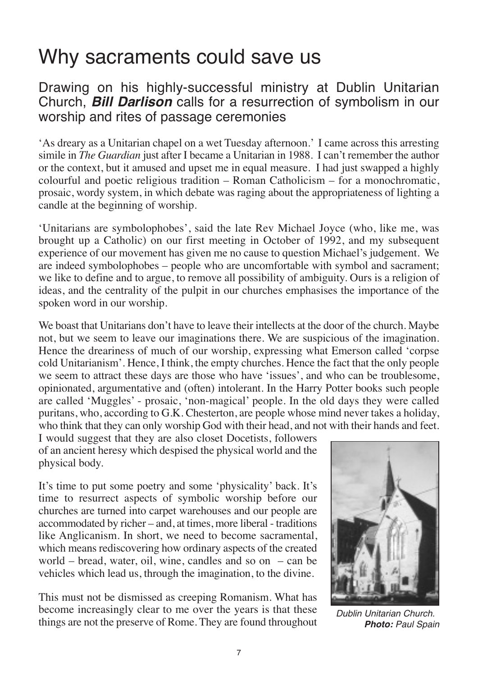## Why sacraments could save us

Drawing on his highly-successful ministry at Dublin Unitarian Church, *Bill Darlison* calls for a resurrection of symbolism in our worship and rites of passage ceremonies

'As dreary as a Unitarian chapel on a wet Tuesday afternoon.' I came across this arresting simile in *The Guardian* just after I became a Unitarian in 1988. I can't remember the author or the context, but it amused and upset me in equal measure. I had just swapped a highly colourful and poetic religious tradition – Roman Catholicism – for a monochromatic, prosaic, wordy system, in which debate was raging about the appropriateness of lighting a candle at the beginning of worship.

'Unitarians are symbolophobes', said the late Rev Michael Joyce (who, like me, was brought up a Catholic) on our first meeting in October of 1992, and my subsequent experience of our movement has given me no cause to question Michael's judgement. We are indeed symbolophobes – people who are uncomfortable with symbol and sacrament; we like to define and to argue, to remove all possibility of ambiguity. Ours is a religion of ideas, and the centrality of the pulpit in our churches emphasises the importance of the spoken word in our worship.

We boast that Unitarians don't have to leave their intellects at the door of the church. Maybe not, but we seem to leave our imaginations there. We are suspicious of the imagination. Hence the dreariness of much of our worship, expressing what Emerson called 'corpse cold Unitarianism'. Hence, I think, the empty churches. Hence the fact that the only people we seem to attract these days are those who have 'issues', and who can be troublesome, opinionated, argumentative and (often) intolerant. In the Harry Potter books such people are called 'Muggles' - prosaic, 'non-magical' people. In the old days they were called puritans, who, according to G.K. Chesterton, are people whose mind never takes a holiday, who think that they can only worship God with their head, and not with their hands and feet.

I would suggest that they are also closet Docetists, followers of an ancient heresy which despised the physical world and the physical body.

It's time to put some poetry and some 'physicality' back. It's time to resurrect aspects of symbolic worship before our churches are turned into carpet warehouses and our people are accommodated by richer – and, at times, more liberal - traditions like Anglicanism. In short, we need to become sacramental, which means rediscovering how ordinary aspects of the created world – bread, water, oil, wine, candles and so on – can be vehicles which lead us, through the imagination, to the divine.

This must not be dismissed as creeping Romanism. What has become increasingly clear to me over the years is that these things are not the preserve of Rome. They are found throughout



*Dublin Unitarian Church. Photo: Paul Spain*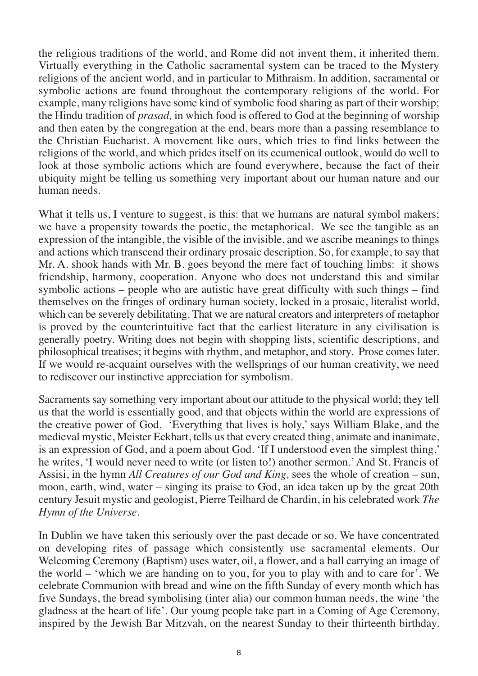the religious traditions of the world, and Rome did not invent them, it inherited them. Virtually everything in the Catholic sacramental system can be traced to the Mystery religions of the ancient world, and in particular to Mithraism. In addition, sacramental or symbolic actions are found throughout the contemporary religions of the world. For example, many religions have some kind of symbolic food sharing as part of their worship; the Hindu tradition of *prasad,* in which food is offered to God at the beginning of worship and then eaten by the congregation at the end, bears more than a passing resemblance to the Christian Eucharist. A movement like ours, which tries to find links between the religions of the world, and which prides itself on its ecumenical outlook, would do well to look at those symbolic actions which are found everywhere, because the fact of their ubiquity might be telling us something very important about our human nature and our human needs.

What it tells us, I venture to suggest, is this: that we humans are natural symbol makers; we have a propensity towards the poetic, the metaphorical. We see the tangible as an expression of the intangible, the visible of the invisible, and we ascribe meanings to things and actions which transcend their ordinary prosaic description. So, for example, to say that Mr. A. shook hands with Mr. B. goes beyond the mere fact of touching limbs: it shows friendship, harmony, cooperation. Anyone who does not understand this and similar symbolic actions – people who are autistic have great difficulty with such things – find themselves on the fringes of ordinary human society, locked in a prosaic, literalist world, which can be severely debilitating. That we are natural creators and interpreters of metaphor is proved by the counterintuitive fact that the earliest literature in any civilisation is generally poetry. Writing does not begin with shopping lists, scientific descriptions, and philosophical treatises; it begins with rhythm, and metaphor, and story. Prose comes later. If we would re-acquaint ourselves with the wellsprings of our human creativity, we need to rediscover our instinctive appreciation for symbolism.

Sacraments say something very important about our attitude to the physical world; they tell us that the world is essentially good, and that objects within the world are expressions of the creative power of God. 'Everything that lives is holy,' says William Blake, and the medieval mystic, Meister Eckhart, tells us that every created thing, animate and inanimate, is an expression of God, and a poem about God. 'If I understood even the simplest thing,' he writes, 'I would never need to write (or listen to!) another sermon.' And St. Francis of Assisi, in the hymn *All Creatures of our God and King,* sees the whole of creation – sun, moon, earth, wind, water – singing its praise to God, an idea taken up by the great 20th century Jesuit mystic and geologist, Pierre Teilhard de Chardin, in his celebrated work *The Hymn of the Universe.*

In Dublin we have taken this seriously over the past decade or so. We have concentrated on developing rites of passage which consistently use sacramental elements. Our Welcoming Ceremony (Baptism) uses water, oil, a flower, and a ball carrying an image of the world – 'which we are handing on to you, for you to play with and to care for'. We celebrate Communion with bread and wine on the fifth Sunday of every month which has five Sundays, the bread symbolising (inter alia) our common human needs, the wine 'the gladness at the heart of life'. Our young people take part in a Coming of Age Ceremony, inspired by the Jewish Bar Mitzvah, on the nearest Sunday to their thirteenth birthday.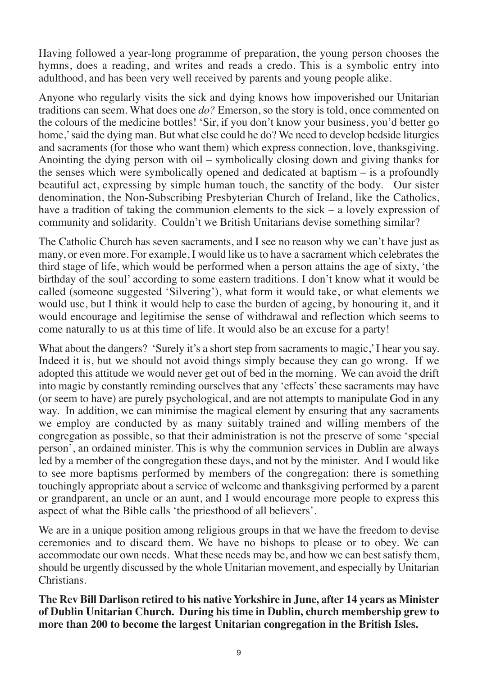Having followed a year-long programme of preparation, the young person chooses the hymns, does a reading, and writes and reads a credo. This is a symbolic entry into adulthood, and has been very well received by parents and young people alike.

Anyone who regularly visits the sick and dying knows how impoverished our Unitarian traditions can seem. What does one *do?* Emerson, so the story is told, once commented on the colours of the medicine bottles! 'Sir, if you don't know your business, you'd better go home,' said the dying man. But what else could he do? We need to develop bedside liturgies and sacraments (for those who want them) which express connection, love, thanksgiving. Anointing the dying person with oil – symbolically closing down and giving thanks for the senses which were symbolically opened and dedicated at baptism – is a profoundly beautiful act, expressing by simple human touch, the sanctity of the body. Our sister denomination, the Non-Subscribing Presbyterian Church of Ireland, like the Catholics, have a tradition of taking the communion elements to the sick – a lovely expression of community and solidarity. Couldn't we British Unitarians devise something similar?

The Catholic Church has seven sacraments, and I see no reason why we can't have just as many, or even more. For example, I would like us to have a sacrament which celebrates the third stage of life, which would be performed when a person attains the age of sixty, 'the birthday of the soul' according to some eastern traditions. I don't know what it would be called (someone suggested 'Silvering'), what form it would take, or what elements we would use, but I think it would help to ease the burden of ageing, by honouring it, and it would encourage and legitimise the sense of withdrawal and reflection which seems to come naturally to us at this time of life. It would also be an excuse for a party!

What about the dangers? 'Surely it's a short step from sacraments to magic,' I hear you say. Indeed it is, but we should not avoid things simply because they can go wrong. If we adopted this attitude we would never get out of bed in the morning. We can avoid the drift into magic by constantly reminding ourselves that any 'effects' these sacraments may have (or seem to have) are purely psychological, and are not attempts to manipulate God in any way. In addition, we can minimise the magical element by ensuring that any sacraments we employ are conducted by as many suitably trained and willing members of the congregation as possible, so that their administration is not the preserve of some 'special person', an ordained minister. This is why the communion services in Dublin are always led by a member of the congregation these days, and not by the minister. And I would like to see more baptisms performed by members of the congregation: there is something touchingly appropriate about a service of welcome and thanksgiving performed by a parent or grandparent, an uncle or an aunt, and I would encourage more people to express this aspect of what the Bible calls 'the priesthood of all believers'.

We are in a unique position among religious groups in that we have the freedom to devise ceremonies and to discard them. We have no bishops to please or to obey. We can accommodate our own needs. What these needs may be, and how we can best satisfy them, should be urgently discussed by the whole Unitarian movement, and especially by Unitarian Christians.

**The Rev Bill Darlison retired to his native Yorkshire in June, after 14 years as Minister of Dublin Unitarian Church. During his time in Dublin, church membership grew to more than 200 to become the largest Unitarian congregation in the British Isles.**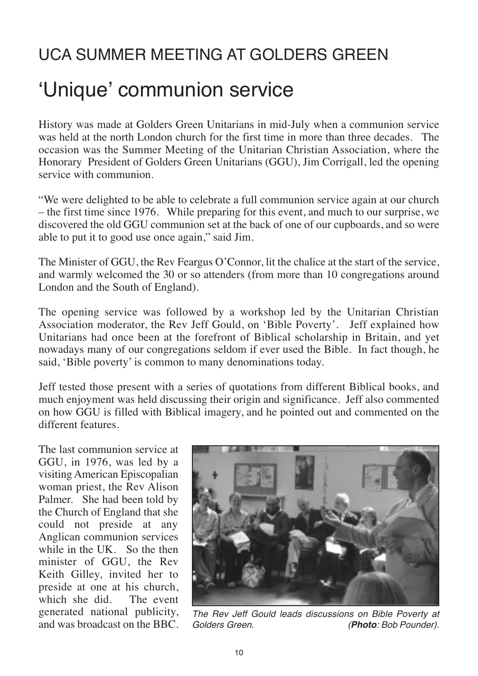## UCA SUMMER MEETING AT GOLDERS GREEN ʻUnique' communion service

History was made at Golders Green Unitarians in mid-July when a communion service was held at the north London church for the first time in more than three decades. The occasion was the Summer Meeting of the Unitarian Christian Association, where the Honorary President of Golders Green Unitarians (GGU), Jim Corrigall, led the opening service with communion.

"We were delighted to be able to celebrate a full communion service again at our church – the first time since 1976. While preparing for this event, and much to our surprise, we discovered the old GGU communion set at the back of one of our cupboards, and so were able to put it to good use once again," said Jim.

The Minister of GGU, the Rev Feargus O'Connor, lit the chalice at the start of the service, and warmly welcomed the 30 or so attenders (from more than 10 congregations around London and the South of England).

The opening service was followed by a workshop led by the Unitarian Christian Association moderator, the Rev Jeff Gould, on 'Bible Poverty'. Jeff explained how Unitarians had once been at the forefront of Biblical scholarship in Britain, and yet nowadays many of our congregations seldom if ever used the Bible. In fact though, he said, 'Bible poverty' is common to many denominations today.

Jeff tested those present with a series of quotations from different Biblical books, and much enjoyment was held discussing their origin and significance. Jeff also commented on how GGU is filled with Biblical imagery, and he pointed out and commented on the different features.

The last communion service at GGU, in 1976, was led by a visiting American Episcopalian woman priest, the Rev Alison Palmer. She had been told by the Church of England that she could not preside at any Anglican communion services while in the UK. So the then minister of GGU, the Rev Keith Gilley, invited her to preside at one at his church,<br>which she did The event which she did. generated national publicity, and was broadcast on the BBC.



*The Rev Jeff Gould leads discussions on Bible Poverty at (Photo: Bob Pounder).*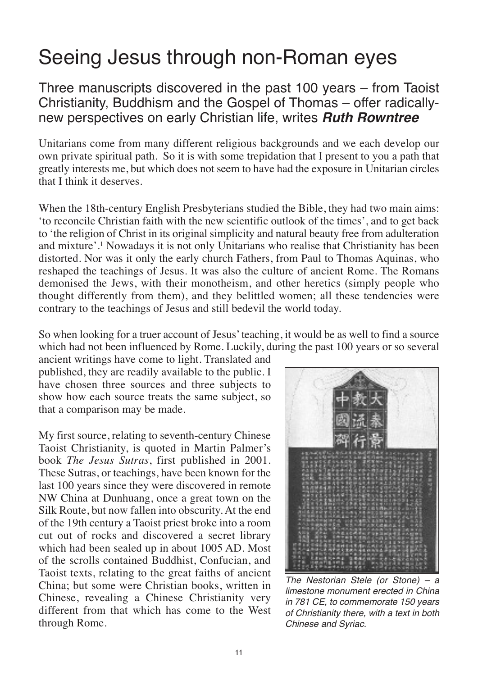### Seeing Jesus through non-Roman eyes

Three manuscripts discovered in the past 100 years – from Taoist Christianity, Buddhism and the Gospel of Thomas – offer radicallynew perspectives on early Christian life, writes *Ruth Rowntree*

Unitarians come from many different religious backgrounds and we each develop our own private spiritual path. So it is with some trepidation that I present to you a path that greatly interests me, but which does not seem to have had the exposure in Unitarian circles that I think it deserves.

When the 18th-century English Presbyterians studied the Bible, they had two main aims: 'to reconcile Christian faith with the new scientific outlook of the times', and to get back to 'the religion of Christ in its original simplicity and natural beauty free from adulteration and mixture'.1 Nowadays it is not only Unitarians who realise that Christianity has been distorted. Nor was it only the early church Fathers, from Paul to Thomas Aquinas, who reshaped the teachings of Jesus. It was also the culture of ancient Rome. The Romans demonised the Jews, with their monotheism, and other heretics (simply people who thought differently from them), and they belittled women; all these tendencies were contrary to the teachings of Jesus and still bedevil the world today.

So when looking for a truer account of Jesus' teaching, it would be as well to find a source which had not been influenced by Rome. Luckily, during the past 100 years or so several

ancient writings have come to light. Translated and published, they are readily available to the public. I have chosen three sources and three subjects to show how each source treats the same subject, so that a comparison may be made.

My first source, relating to seventh-century Chinese Taoist Christianity, is quoted in Martin Palmer's book *The Jesus Sutras*, first published in 2001. These Sutras, or teachings, have been known for the last 100 years since they were discovered in remote NW China at Dunhuang, once a great town on the Silk Route, but now fallen into obscurity. At the end of the 19th century a Taoist priest broke into a room cut out of rocks and discovered a secret library which had been sealed up in about 1005 AD. Most of the scrolls contained Buddhist, Confucian, and Taoist texts, relating to the great faiths of ancient China; but some were Christian books, written in Chinese, revealing a Chinese Christianity very different from that which has come to the West through Rome.



*The Nestorian Stele (or Stone) – a limestone monument erected in China in 781 CE, to commemorate 150 years of Christianity there, with a text in both Chinese and Syriac.*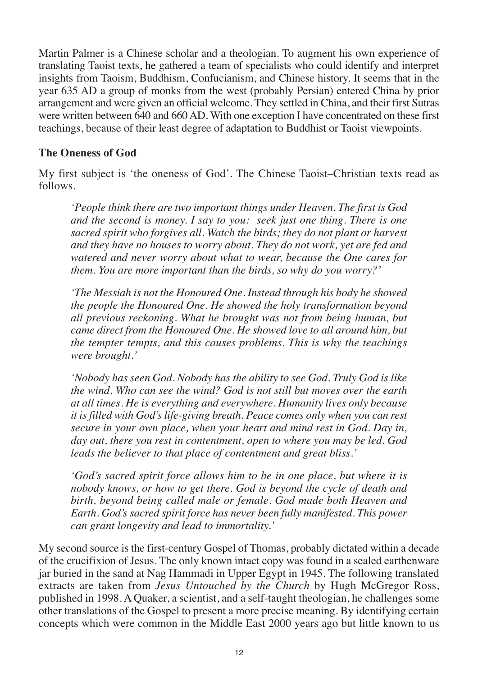Martin Palmer is a Chinese scholar and a theologian. To augment his own experience of translating Taoist texts, he gathered a team of specialists who could identify and interpret insights from Taoism, Buddhism, Confucianism, and Chinese history. It seems that in the year 635 AD a group of monks from the west (probably Persian) entered China by prior arrangement and were given an official welcome. They settled in China, and their first Sutras were written between 640 and 660 AD. With one exception I have concentrated on these first teachings, because of their least degree of adaptation to Buddhist or Taoist viewpoints.

#### **The Oneness of God**

My first subject is 'the oneness of God'. The Chinese Taoist–Christian texts read as follows.

*'People think there are two important things under Heaven. The first is God and the second is money. I say to you: seek just one thing. There is one sacred spirit who forgives all. Watch the birds; they do not plant or harvest and they have no houses to worry about. They do not work, yet are fed and watered and never worry about what to wear, because the One cares for them. You are more important than the birds, so why do you worry?'*

*'The Messiah is not the Honoured One. Instead through his body he showed the people the Honoured One. He showed the holy transformation beyond all previous reckoning. What he brought was not from being human, but came direct from the Honoured One. He showed love to all around him, but the tempter tempts, and this causes problems. This is why the teachings were brought.'*

*'Nobody has seen God. Nobody has the ability to see God. Truly God is like the wind. Who can see the wind? God is not still but moves over the earth at all times. He is everything and everywhere. Humanity lives only because it is filled with God's life-giving breath. Peace comes only when you can rest secure in your own place, when your heart and mind rest in God. Day in, day out, there you rest in contentment, open to where you may be led. God leads the believer to that place of contentment and great bliss.'*

*'God's sacred spirit force allows him to be in one place, but where it is nobody knows, or how to get there. God is beyond the cycle of death and birth, beyond being called male or female. God made both Heaven and Earth. God's sacred spirit force has never been fully manifested. This power can grant longevity and lead to immortality.'*

My second source is the first-century Gospel of Thomas, probably dictated within a decade of the crucifixion of Jesus. The only known intact copy was found in a sealed earthenware jar buried in the sand at Nag Hammadi in Upper Egypt in 1945. The following translated extracts are taken from *Jesus Untouched by the Church* by Hugh McGregor Ross, published in 1998. A Quaker, a scientist, and a self-taught theologian, he challenges some other translations of the Gospel to present a more precise meaning. By identifying certain concepts which were common in the Middle East 2000 years ago but little known to us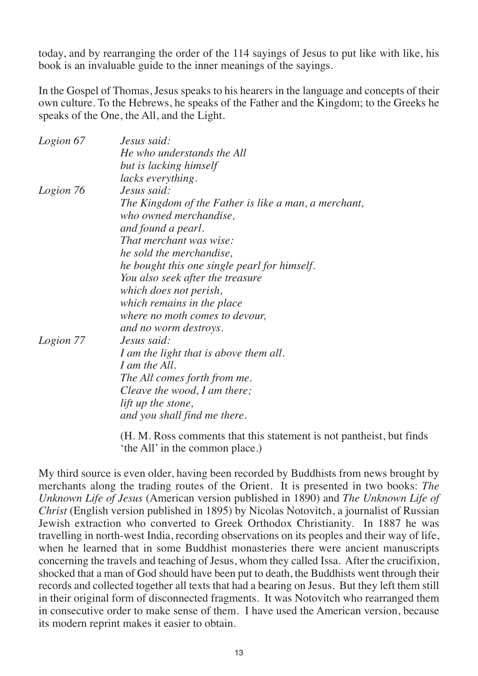today, and by rearranging the order of the 114 sayings of Jesus to put like with like, his book is an invaluable guide to the inner meanings of the sayings.

In the Gospel of Thomas, Jesus speaks to his hearers in the language and concepts of their own culture. To the Hebrews, he speaks of the Father and the Kingdom; to the Greeks he speaks of the One, the All, and the Light.

| Logion 67 | Jesus said:                                                               |
|-----------|---------------------------------------------------------------------------|
|           | He who understands the All                                                |
|           | but is lacking himself                                                    |
|           | lacks everything.                                                         |
| Logion 76 | Jesus said:                                                               |
|           | The Kingdom of the Father is like a man, a merchant,                      |
|           | who owned merchandise.                                                    |
|           | and found a pearl.                                                        |
|           | That merchant was wise:                                                   |
|           | he sold the merchandise,                                                  |
|           | he bought this one single pearl for himself.                              |
|           | You also seek after the treasure                                          |
|           | which does not perish,                                                    |
|           | which remains in the place                                                |
|           | where no moth comes to devour,                                            |
|           | and no worm destroys.                                                     |
| Logion 77 | Jesus said:                                                               |
|           | I am the light that is above them all.                                    |
|           | I am the All.                                                             |
|           | The All comes forth from me.                                              |
|           | Cleave the wood, I am there;                                              |
|           | lift up the stone,                                                        |
|           | and you shall find me there.                                              |
|           | $-1$ $-1$ $-1$ $-1$ $-1$ $-1$ $-1$ $-1$<br>$T$ $\bf{r}$ $\bf{n}$ $\bf{n}$ |

(H. M. Ross comments that this statement is not pantheist, but finds 'the All' in the common place.)

My third source is even older, having been recorded by Buddhists from news brought by merchants along the trading routes of the Orient. It is presented in two books: *The Unknown Life of Jesus* (American version published in 1890) and *The Unknown Life of Christ* (English version published in 1895) by Nicolas Notovitch, a journalist of Russian Jewish extraction who converted to Greek Orthodox Christianity. In 1887 he was travelling in north-west India, recording observations on its peoples and their way of life, when he learned that in some Buddhist monasteries there were ancient manuscripts concerning the travels and teaching of Jesus, whom they called Issa. After the crucifixion, shocked that a man of God should have been put to death, the Buddhists went through their records and collected together all texts that had a bearing on Jesus. But they left them still in their original form of disconnected fragments. It was Notovitch who rearranged them in consecutive order to make sense of them. I have used the American version, because its modern reprint makes it easier to obtain.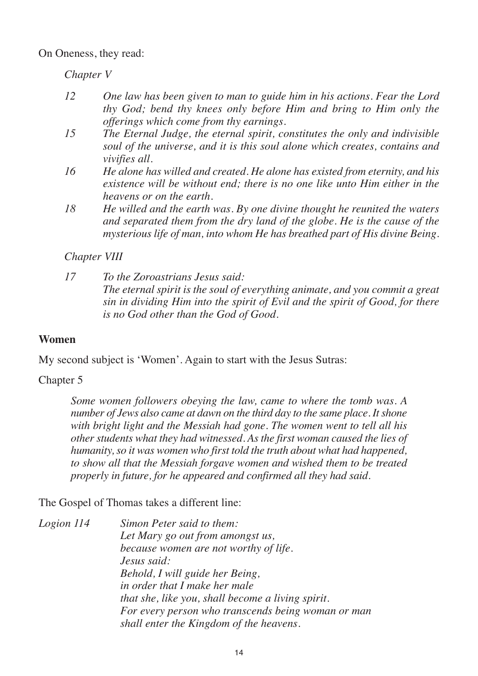On Oneness, they read:

*Chapter V* 

- *12 One law has been given to man to guide him in his actions. Fear the Lord thy God; bend thy knees only before Him and bring to Him only the offerings which come from thy earnings.*
- *15 The Eternal Judge, the eternal spirit, constitutes the only and indivisible soul of the universe, and it is this soul alone which creates, contains and vivifies all.*
- *16 He alone has willed and created. He alone has existed from eternity, and his existence will be without end; there is no one like unto Him either in the heavens or on the earth.*
- *18 He willed and the earth was. By one divine thought he reunited the waters and separated them from the dry land of the globe. He is the cause of the mysterious life of man, into whom He has breathed part of His divine Being.*

*Chapter VIII* 

*17 To the Zoroastrians Jesus said: The eternal spirit is the soul of everything animate, and you commit a great sin in dividing Him into the spirit of Evil and the spirit of Good, for there is no God other than the God of Good.*

#### **Women**

My second subject is 'Women'. Again to start with the Jesus Sutras:

Chapter 5

*Some women followers obeying the law, came to where the tomb was. A number of Jews also came at dawn on the third day to the same place. It shone with bright light and the Messiah had gone. The women went to tell all his other students what they had witnessed. As the first woman caused the lies of humanity, so it was women who first told the truth about what had happened, to show all that the Messiah forgave women and wished them to be treated properly in future, for he appeared and confirmed all they had said.*

The Gospel of Thomas takes a different line:

*Logion 114 Simon Peter said to them: Let Mary go out from amongst us, because women are not worthy of life. Jesus said: Behold, I will guide her Being, in order that I make her male that she, like you, shall become a living spirit. For every person who transcends being woman or man shall enter the Kingdom of the heavens.*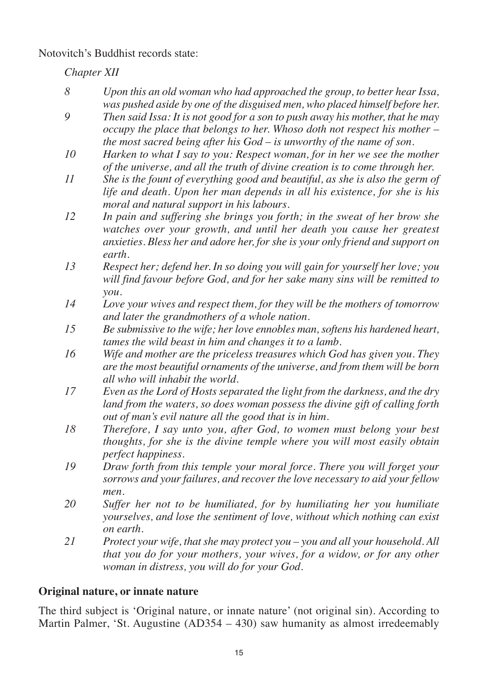Notovitch's Buddhist records state:

*Chapter XII*

*8 Upon this an old woman who had approached the group, to better hear Issa, was pushed aside by one of the disguised men, who placed himself before her. 9 Then said Issa: It is not good for a son to push away his mother, that he may occupy the place that belongs to her. Whoso doth not respect his mother – the most sacred being after his God – is unworthy of the name of son. 10 Harken to what I say to you: Respect woman, for in her we see the mother of the universe, and all the truth of divine creation is to come through her. 11 She is the fount of everything good and beautiful, as she is also the germ of life and death. Upon her man depends in all his existence, for she is his moral and natural support in his labours. 12 In pain and suffering she brings you forth; in the sweat of her brow she watches over your growth, and until her death you cause her greatest anxieties. Bless her and adore her, for she is your only friend and support on earth. 13 Respect her; defend her. In so doing you will gain for yourself her love; you will find favour before God, and for her sake many sins will be remitted to you. 14 Love your wives and respect them, for they will be the mothers of tomorrow and later the grandmothers of a whole nation. 15 Be submissive to the wife; her love ennobles man, softens his hardened heart, tames the wild beast in him and changes it to a lamb. 16 Wife and mother are the priceless treasures which God has given you. They are the most beautiful ornaments of the universe, and from them will be born all who will inhabit the world. 17 Even as the Lord of Hosts separated the light from the darkness, and the dry land from the waters, so does woman possess the divine gift of calling forth out of man's evil nature all the good that is in him. 18 Therefore, I say unto you, after God, to women must belong your best thoughts, for she is the divine temple where you will most easily obtain perfect happiness. 19 Draw forth from this temple your moral force. There you will forget your sorrows and your failures, and recover the love necessary to aid your fellow men. 20 Suffer her not to be humiliated, for by humiliating her you humiliate yourselves, and lose the sentiment of love, without which nothing can exist on earth. 21 Protect your wife, that she may protect you – you and all your household. All that you do for your mothers, your wives, for a widow, or for any other woman in distress, you will do for your God.* **Original nature, or innate nature**

The third subject is 'Original nature, or innate nature' (not original sin). According to Martin Palmer, 'St. Augustine  $(AD354 - 430)$  saw humanity as almost irredeemably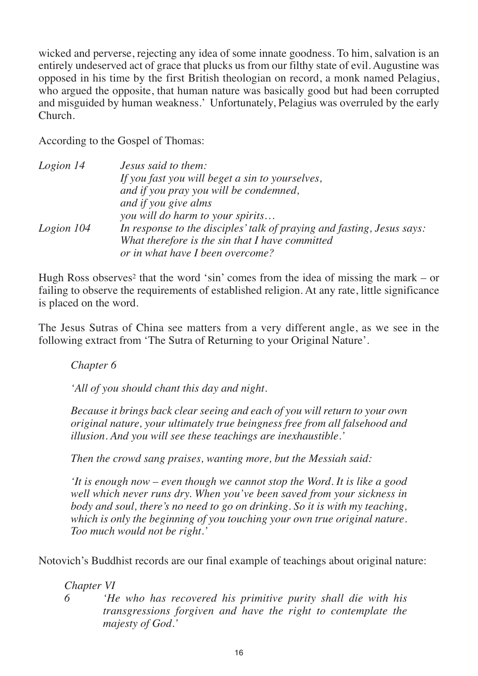wicked and perverse, rejecting any idea of some innate goodness. To him, salvation is an entirely undeserved act of grace that plucks us from our filthy state of evil. Augustine was opposed in his time by the first British theologian on record, a monk named Pelagius, who argued the opposite, that human nature was basically good but had been corrupted and misguided by human weakness.' Unfortunately, Pelagius was overruled by the early Church.

According to the Gospel of Thomas:

| Logion 14  | Jesus said to them:                                                    |
|------------|------------------------------------------------------------------------|
|            | If you fast you will beget a sin to yourselves,                        |
|            | and if you pray you will be condemned,                                 |
|            | and if you give alms                                                   |
|            | you will do harm to your spirits                                       |
| Logion 104 | In response to the disciples' talk of praying and fasting, Jesus says: |
|            | What therefore is the sin that I have committed                        |
|            | or in what have I been overcome?                                       |

Hugh Ross observes<sup>2</sup> that the word 'sin' comes from the idea of missing the mark – or failing to observe the requirements of established religion. At any rate, little significance is placed on the word.

The Jesus Sutras of China see matters from a very different angle, as we see in the following extract from 'The Sutra of Returning to your Original Nature'.

*Chapter 6*

*'All of you should chant this day and night.*

*Because it brings back clear seeing and each of you will return to your own original nature, your ultimately true beingness free from all falsehood and illusion. And you will see these teachings are inexhaustible.'*

*Then the crowd sang praises, wanting more, but the Messiah said:*

*'It is enough now – even though we cannot stop the Word. It is like a good well which never runs dry. When you've been saved from your sickness in body and soul, there's no need to go on drinking. So it is with my teaching, which is only the beginning of you touching your own true original nature. Too much would not be right.'*

Notovich's Buddhist records are our final example of teachings about original nature:

*Chapter VI*

- 
- *6 'He who has recovered his primitive purity shall die with his transgressions forgiven and have the right to contemplate the majesty of God.'*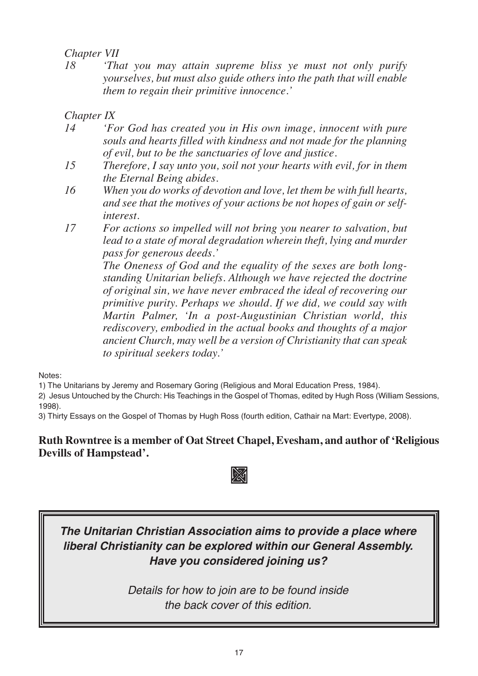### *Chapter VII*

*18 'That you may attain supreme bliss ye must not only purify yourselves, but must also guide others into the path that will enable them to regain their primitive innocence.'*

*Chapter IX* 

- *14 'For God has created you in His own image, innocent with pure souls and hearts filled with kindness and not made for the planning of evil, but to be the sanctuaries of love and justice.*
- *15 Therefore, I say unto you, soil not your hearts with evil, for in them the Eternal Being abides.*
- *16 When you do works of devotion and love, let them be with full hearts, and see that the motives of your actions be not hopes of gain or selfinterest.*
- *17 For actions so impelled will not bring you nearer to salvation, but lead to a state of moral degradation wherein theft, lying and murder pass for generous deeds.'*

*The Oneness of God and the equality of the sexes are both longstanding Unitarian beliefs. Although we have rejected the doctrine of original sin, we have never embraced the ideal of recovering our primitive purity. Perhaps we should. If we did, we could say with Martin Palmer, 'In a post-Augustinian Christian world, this rediscovery, embodied in the actual books and thoughts of a major ancient Church, may well be a version of Christianity that can speak to spiritual seekers today.'*

Notes:

1) The Unitarians by Jeremy and Rosemary Goring (Religious and Moral Education Press, 1984).

2) Jesus Untouched by the Church: His Teachings in the Gospel of Thomas, edited by Hugh Ross (William Sessions, 1998).

3) Thirty Essays on the Gospel of Thomas by Hugh Ross (fourth edition, Cathair na Mart: Evertype, 2008).

#### **Ruth Rowntree is a member of Oat Street Chapel, Evesham, and author of 'Religious Devills of Hampstead'.**



### *The Unitarian Christian Association aims to provide a place where liberal Christianity can be explored within our General Assembly. Have you considered joining us?*

*Details for how to join are to be found inside the back cover of this edition.*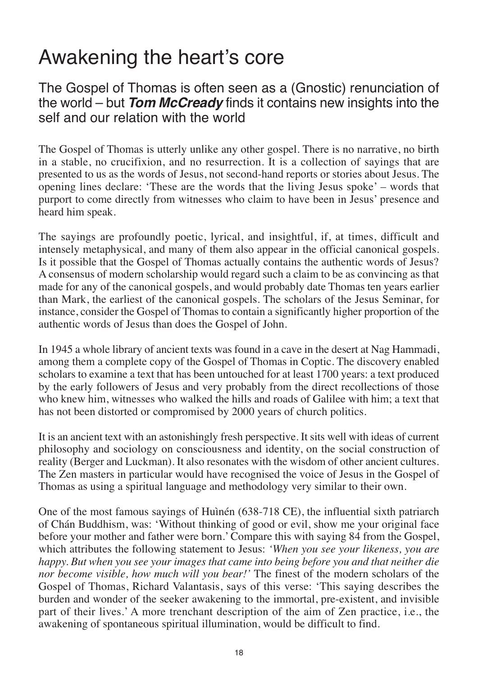## Awakening the heart's core

The Gospel of Thomas is often seen as a (Gnostic) renunciation of the world – but *Tom McCready* finds it contains new insights into the self and our relation with the world

The Gospel of Thomas is utterly unlike any other gospel. There is no narrative, no birth in a stable, no crucifixion, and no resurrection. It is a collection of sayings that are presented to us as the words of Jesus, not second-hand reports or stories about Jesus. The opening lines declare: 'These are the words that the living Jesus spoke' – words that purport to come directly from witnesses who claim to have been in Jesus' presence and heard him speak.

The sayings are profoundly poetic, lyrical, and insightful, if, at times, difficult and intensely metaphysical, and many of them also appear in the official canonical gospels. Is it possible that the Gospel of Thomas actually contains the authentic words of Jesus? A consensus of modern scholarship would regard such a claim to be as convincing as that made for any of the canonical gospels, and would probably date Thomas ten years earlier than Mark, the earliest of the canonical gospels. The scholars of the Jesus Seminar, for instance, consider the Gospel of Thomas to contain a significantly higher proportion of the authentic words of Jesus than does the Gospel of John.

In 1945 a whole library of ancient texts was found in a cave in the desert at Nag Hammadi, among them a complete copy of the Gospel of Thomas in Coptic. The discovery enabled scholars to examine a text that has been untouched for at least 1700 years: a text produced by the early followers of Jesus and very probably from the direct recollections of those who knew him, witnesses who walked the hills and roads of Galilee with him; a text that has not been distorted or compromised by 2000 years of church politics.

It is an ancient text with an astonishingly fresh perspective. It sits well with ideas of current philosophy and sociology on consciousness and identity, on the social construction of reality (Berger and Luckman). It also resonates with the wisdom of other ancient cultures. The Zen masters in particular would have recognised the voice of Jesus in the Gospel of Thomas as using a spiritual language and methodology very similar to their own.

One of the most famous sayings of Huìnén (638-718 CE), the influential sixth patriarch of Chán Buddhism, was: 'Without thinking of good or evil, show me your original face before your mother and father were born.' Compare this with saying 84 from the Gospel, which attributes the following statement to Jesus: *'When you see your likeness, you are happy. But when you see your images that came into being before you and that neither die nor become visible, how much will you bear!'* The finest of the modern scholars of the Gospel of Thomas, Richard Valantasis, says of this verse: 'This saying describes the burden and wonder of the seeker awakening to the immortal, pre-existent, and invisible part of their lives.' A more trenchant description of the aim of Zen practice, i.e., the awakening of spontaneous spiritual illumination, would be difficult to find.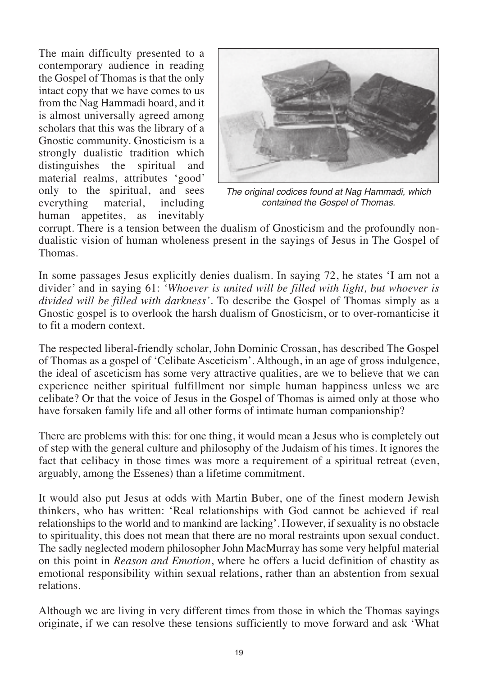The main difficulty presented to a contemporary audience in reading the Gospel of Thomas is that the only intact copy that we have comes to us from the Nag Hammadi hoard, and it is almost universally agreed among scholars that this was the library of a Gnostic community. Gnosticism is a strongly dualistic tradition which<br>distinguishes the spiritual and distinguishes the spiritual material realms, attributes 'good' only to the spiritual, and sees<br>everything material, including everything human appetites, as inevitably



*The original codices found at Nag Hammadi, which contained the Gospel of Thomas.* 

corrupt. There is a tension between the dualism of Gnosticism and the profoundly nondualistic vision of human wholeness present in the sayings of Jesus in The Gospel of Thomas.

In some passages Jesus explicitly denies dualism. In saying 72, he states 'I am not a divider' and in saying 61: *'Whoever is united will be filled with light, but whoever is divided will be filled with darkness'.* To describe the Gospel of Thomas simply as a Gnostic gospel is to overlook the harsh dualism of Gnosticism, or to over-romanticise it to fit a modern context.

The respected liberal-friendly scholar, John Dominic Crossan, has described The Gospel of Thomas as a gospel of 'Celibate Asceticism'. Although, in an age of gross indulgence, the ideal of asceticism has some very attractive qualities, are we to believe that we can experience neither spiritual fulfillment nor simple human happiness unless we are celibate? Or that the voice of Jesus in the Gospel of Thomas is aimed only at those who have forsaken family life and all other forms of intimate human companionship?

There are problems with this: for one thing, it would mean a Jesus who is completely out of step with the general culture and philosophy of the Judaism of his times. It ignores the fact that celibacy in those times was more a requirement of a spiritual retreat (even, arguably, among the Essenes) than a lifetime commitment.

It would also put Jesus at odds with Martin Buber, one of the finest modern Jewish thinkers, who has written: 'Real relationships with God cannot be achieved if real relationships to the world and to mankind are lacking'. However, if sexuality is no obstacle to spirituality, this does not mean that there are no moral restraints upon sexual conduct. The sadly neglected modern philosopher John MacMurray has some very helpful material on this point in *Reason and Emotion*, where he offers a lucid definition of chastity as emotional responsibility within sexual relations, rather than an abstention from sexual relations.

Although we are living in very different times from those in which the Thomas sayings originate, if we can resolve these tensions sufficiently to move forward and ask 'What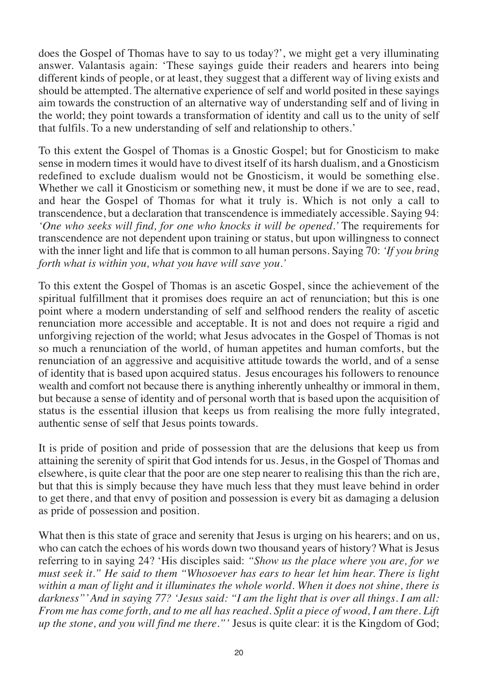does the Gospel of Thomas have to say to us today?', we might get a very illuminating answer. Valantasis again: 'These sayings guide their readers and hearers into being different kinds of people, or at least, they suggest that a different way of living exists and should be attempted. The alternative experience of self and world posited in these sayings aim towards the construction of an alternative way of understanding self and of living in the world; they point towards a transformation of identity and call us to the unity of self that fulfils. To a new understanding of self and relationship to others.'

To this extent the Gospel of Thomas is a Gnostic Gospel; but for Gnosticism to make sense in modern times it would have to divest itself of its harsh dualism, and a Gnosticism redefined to exclude dualism would not be Gnosticism, it would be something else. Whether we call it Gnosticism or something new, it must be done if we are to see, read, and hear the Gospel of Thomas for what it truly is. Which is not only a call to transcendence, but a declaration that transcendence is immediately accessible. Saying 94: *'One who seeks will find, for one who knocks it will be opened.'* The requirements for transcendence are not dependent upon training or status, but upon willingness to connect with the inner light and life that is common to all human persons. Saying 70: *'If you bring forth what is within you, what you have will save you.'*

To this extent the Gospel of Thomas is an ascetic Gospel, since the achievement of the spiritual fulfillment that it promises does require an act of renunciation; but this is one point where a modern understanding of self and selfhood renders the reality of ascetic renunciation more accessible and acceptable. It is not and does not require a rigid and unforgiving rejection of the world; what Jesus advocates in the Gospel of Thomas is not so much a renunciation of the world, of human appetites and human comforts, but the renunciation of an aggressive and acquisitive attitude towards the world, and of a sense of identity that is based upon acquired status. Jesus encourages his followers to renounce wealth and comfort not because there is anything inherently unhealthy or immoral in them, but because a sense of identity and of personal worth that is based upon the acquisition of status is the essential illusion that keeps us from realising the more fully integrated, authentic sense of self that Jesus points towards.

It is pride of position and pride of possession that are the delusions that keep us from attaining the serenity of spirit that God intends for us. Jesus, in the Gospel of Thomas and elsewhere, is quite clear that the poor are one step nearer to realising this than the rich are, but that this is simply because they have much less that they must leave behind in order to get there, and that envy of position and possession is every bit as damaging a delusion as pride of possession and position.

What then is this state of grace and serenity that Jesus is urging on his hearers; and on us, who can catch the echoes of his words down two thousand years of history? What is Jesus referring to in saying 24? 'His disciples said: *"Show us the place where you are, for we must seek it." He said to them "Whosoever has ears to hear let him hear. There is light within a man of light and it illuminates the whole world. When it does not shine, there is darkness"' And in saying 77? 'Jesus said: "I am the light that is over all things. I am all: From me has come forth, and to me all has reached. Split a piece of wood, I am there. Lift up the stone, and you will find me there."'* Jesus is quite clear: it is the Kingdom of God;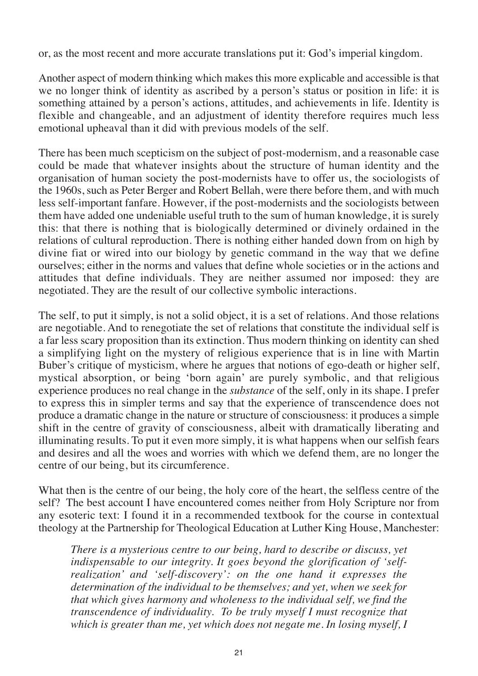or, as the most recent and more accurate translations put it: God's imperial kingdom.

Another aspect of modern thinking which makes this more explicable and accessible is that we no longer think of identity as ascribed by a person's status or position in life: it is something attained by a person's actions, attitudes, and achievements in life. Identity is flexible and changeable, and an adjustment of identity therefore requires much less emotional upheaval than it did with previous models of the self.

There has been much scepticism on the subject of post-modernism, and a reasonable case could be made that whatever insights about the structure of human identity and the organisation of human society the post-modernists have to offer us, the sociologists of the 1960s, such as Peter Berger and Robert Bellah, were there before them, and with much less self-important fanfare. However, if the post-modernists and the sociologists between them have added one undeniable useful truth to the sum of human knowledge, it is surely this: that there is nothing that is biologically determined or divinely ordained in the relations of cultural reproduction. There is nothing either handed down from on high by divine fiat or wired into our biology by genetic command in the way that we define ourselves; either in the norms and values that define whole societies or in the actions and attitudes that define individuals. They are neither assumed nor imposed: they are negotiated. They are the result of our collective symbolic interactions.

The self, to put it simply, is not a solid object, it is a set of relations. And those relations are negotiable. And to renegotiate the set of relations that constitute the individual self is a far less scary proposition than its extinction. Thus modern thinking on identity can shed a simplifying light on the mystery of religious experience that is in line with Martin Buber's critique of mysticism, where he argues that notions of ego-death or higher self, mystical absorption, or being 'born again' are purely symbolic, and that religious experience produces no real change in the *substance* of the self, only in its shape. I prefer to express this in simpler terms and say that the experience of transcendence does not produce a dramatic change in the nature or structure of consciousness: it produces a simple shift in the centre of gravity of consciousness, albeit with dramatically liberating and illuminating results. To put it even more simply, it is what happens when our selfish fears and desires and all the woes and worries with which we defend them, are no longer the centre of our being, but its circumference.

What then is the centre of our being, the holy core of the heart, the selfless centre of the self? The best account I have encountered comes neither from Holy Scripture nor from any esoteric text: I found it in a recommended textbook for the course in contextual theology at the Partnership for Theological Education at Luther King House, Manchester:

*There is a mysterious centre to our being, hard to describe or discuss, yet indispensable to our integrity. It goes beyond the glorification of 'selfrealization' and 'self-discovery': on the one hand it expresses the determination of the individual to be themselves; and yet, when we seek for that which gives harmony and wholeness to the individual self, we find the transcendence of individuality. To be truly myself I must recognize that which is greater than me, yet which does not negate me. In losing myself, I*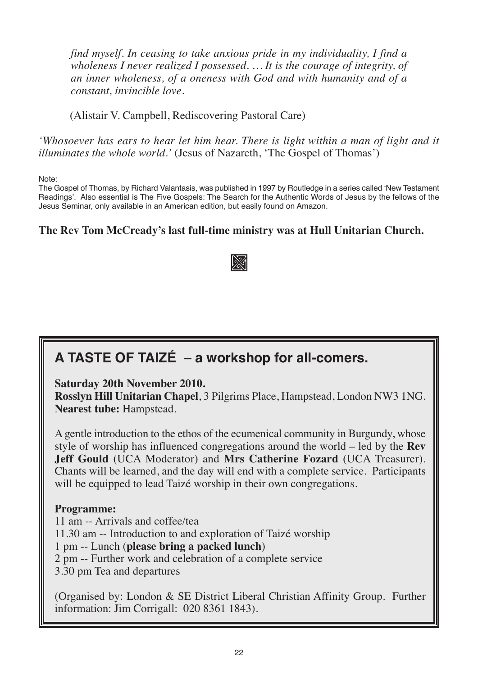*find myself. In ceasing to take anxious pride in my individuality, I find a wholeness I never realized I possessed. … It is the courage of integrity, of an inner wholeness, of a oneness with God and with humanity and of a constant, invincible love.*

(Alistair V. Campbell, Rediscovering Pastoral Care)

*'Whosoever has ears to hear let him hear. There is light within a man of light and it illuminates the whole world.'* (Jesus of Nazareth, 'The Gospel of Thomas')

Note:

The Gospel of Thomas, by Richard Valantasis, was published in 1997 by Routledge in a series called ʻNew Testament Readings'. Also essential is The Five Gospels: The Search for the Authentic Words of Jesus by the fellows of the Jesus Seminar, only available in an American edition, but easily found on Amazon.

#### **The Rev Tom McCready's last full-time ministry was at Hull Unitarian Church.**

### m

### **A TASTE OF TAIZÉ – a workshop for all-comers.**

**Saturday 20th November 2010.** 

**Rosslyn Hill Unitarian Chapel**, 3 Pilgrims Place, Hampstead, London NW3 1NG. **Nearest tube:** Hampstead.

A gentle introduction to the ethos of the ecumenical community in Burgundy, whose style of worship has influenced congregations around the world – led by the **Rev Jeff Gould** (UCA Moderator) and **Mrs Catherine Fozard** (UCA Treasurer). Chants will be learned, and the day will end with a complete service. Participants will be equipped to lead Taizé worship in their own congregations.

#### **Programme:**

11 am -- Arrivals and coffee/tea 11.30 am -- Introduction to and exploration of Taizé worship 1 pm -- Lunch (**please bring a packed lunch**) 2 pm -- Further work and celebration of a complete service 3.30 pm Tea and departures

(Organised by: London & SE District Liberal Christian Affinity Group. Further information: Jim Corrigall: 020 8361 1843).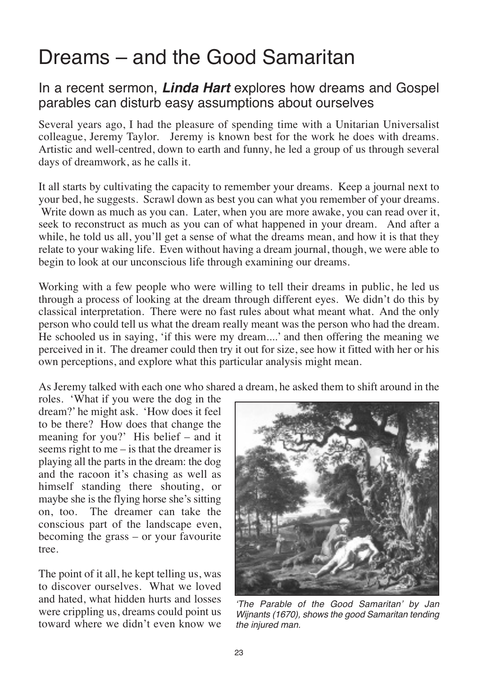### Dreams – and the Good Samaritan

### In a recent sermon, *Linda Hart* explores how dreams and Gospel parables can disturb easy assumptions about ourselves

Several years ago, I had the pleasure of spending time with a Unitarian Universalist colleague, Jeremy Taylor. Jeremy is known best for the work he does with dreams. Artistic and well-centred, down to earth and funny, he led a group of us through several days of dreamwork, as he calls it.

It all starts by cultivating the capacity to remember your dreams. Keep a journal next to your bed, he suggests. Scrawl down as best you can what you remember of your dreams. Write down as much as you can. Later, when you are more awake, you can read over it, seek to reconstruct as much as you can of what happened in your dream. And after a while, he told us all, you'll get a sense of what the dreams mean, and how it is that they relate to your waking life. Even without having a dream journal, though, we were able to begin to look at our unconscious life through examining our dreams.

Working with a few people who were willing to tell their dreams in public, he led us through a process of looking at the dream through different eyes. We didn't do this by classical interpretation. There were no fast rules about what meant what. And the only person who could tell us what the dream really meant was the person who had the dream. He schooled us in saying, 'if this were my dream....' and then offering the meaning we perceived in it. The dreamer could then try it out for size, see how it fitted with her or his own perceptions, and explore what this particular analysis might mean.

As Jeremy talked with each one who shared a dream, he asked them to shift around in the

roles. 'What if you were the dog in the dream?' he might ask. 'How does it feel to be there? How does that change the meaning for you?' His belief – and it seems right to me – is that the dreamer is playing all the parts in the dream: the dog and the racoon it's chasing as well as himself standing there shouting, or maybe she is the flying horse she's sitting on, too. The dreamer can take the conscious part of the landscape even, becoming the grass – or your favourite tree.

The point of it all, he kept telling us, was to discover ourselves. What we loved and hated, what hidden hurts and losses were crippling us, dreams could point us toward where we didn't even know we



*ʻThe Parable of the Good Samaritan' by Jan Wijnants (1670), shows the good Samaritan tending the injured man.*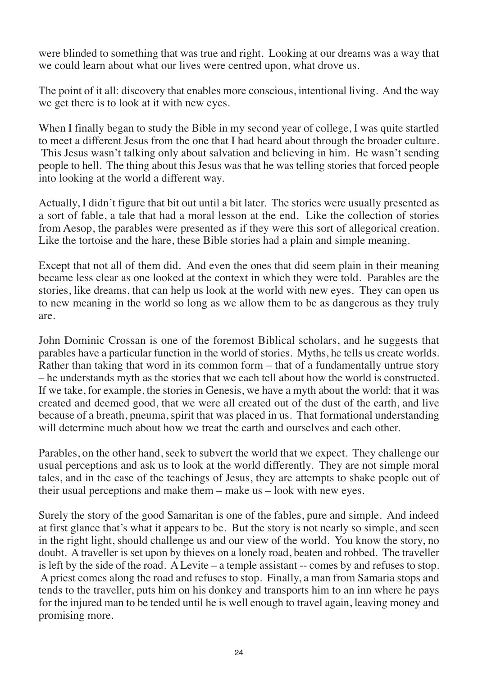were blinded to something that was true and right. Looking at our dreams was a way that we could learn about what our lives were centred upon, what drove us.

The point of it all: discovery that enables more conscious, intentional living. And the way we get there is to look at it with new eyes.

When I finally began to study the Bible in my second year of college, I was quite startled to meet a different Jesus from the one that I had heard about through the broader culture. This Jesus wasn't talking only about salvation and believing in him. He wasn't sending people to hell. The thing about this Jesus was that he was telling stories that forced people into looking at the world a different way.

Actually, I didn't figure that bit out until a bit later. The stories were usually presented as a sort of fable, a tale that had a moral lesson at the end. Like the collection of stories from Aesop, the parables were presented as if they were this sort of allegorical creation. Like the tortoise and the hare, these Bible stories had a plain and simple meaning.

Except that not all of them did. And even the ones that did seem plain in their meaning became less clear as one looked at the context in which they were told. Parables are the stories, like dreams, that can help us look at the world with new eyes. They can open us to new meaning in the world so long as we allow them to be as dangerous as they truly are.

John Dominic Crossan is one of the foremost Biblical scholars, and he suggests that parables have a particular function in the world of stories. Myths, he tells us create worlds. Rather than taking that word in its common form – that of a fundamentally untrue story – he understands myth as the stories that we each tell about how the world is constructed. If we take, for example, the stories in Genesis, we have a myth about the world: that it was created and deemed good, that we were all created out of the dust of the earth, and live because of a breath, pneuma, spirit that was placed in us. That formational understanding will determine much about how we treat the earth and ourselves and each other.

Parables, on the other hand, seek to subvert the world that we expect. They challenge our usual perceptions and ask us to look at the world differently. They are not simple moral tales, and in the case of the teachings of Jesus, they are attempts to shake people out of their usual perceptions and make them – make us – look with new eyes.

Surely the story of the good Samaritan is one of the fables, pure and simple. And indeed at first glance that's what it appears to be. But the story is not nearly so simple, and seen in the right light, should challenge us and our view of the world. You know the story, no doubt. A traveller is set upon by thieves on a lonely road, beaten and robbed. The traveller is left by the side of the road. A Levite – a temple assistant -- comes by and refuses to stop. A priest comes along the road and refuses to stop. Finally, a man from Samaria stops and tends to the traveller, puts him on his donkey and transports him to an inn where he pays for the injured man to be tended until he is well enough to travel again, leaving money and promising more.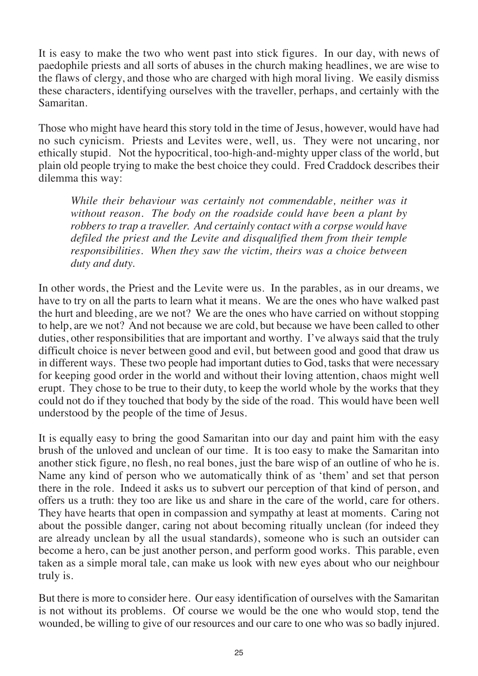It is easy to make the two who went past into stick figures. In our day, with news of paedophile priests and all sorts of abuses in the church making headlines, we are wise to the flaws of clergy, and those who are charged with high moral living. We easily dismiss these characters, identifying ourselves with the traveller, perhaps, and certainly with the Samaritan.

Those who might have heard this story told in the time of Jesus, however, would have had no such cynicism. Priests and Levites were, well, us. They were not uncaring, nor ethically stupid. Not the hypocritical, too-high-and-mighty upper class of the world, but plain old people trying to make the best choice they could. Fred Craddock describes their dilemma this way:

*While their behaviour was certainly not commendable, neither was it without reason. The body on the roadside could have been a plant by robbers to trap a traveller. And certainly contact with a corpse would have defiled the priest and the Levite and disqualified them from their temple responsibilities. When they saw the victim, theirs was a choice between duty and duty.* 

In other words, the Priest and the Levite were us. In the parables, as in our dreams, we have to try on all the parts to learn what it means. We are the ones who have walked past the hurt and bleeding, are we not? We are the ones who have carried on without stopping to help, are we not? And not because we are cold, but because we have been called to other duties, other responsibilities that are important and worthy. I've always said that the truly difficult choice is never between good and evil, but between good and good that draw us in different ways. These two people had important duties to God, tasks that were necessary for keeping good order in the world and without their loving attention, chaos might well erupt. They chose to be true to their duty, to keep the world whole by the works that they could not do if they touched that body by the side of the road. This would have been well understood by the people of the time of Jesus.

It is equally easy to bring the good Samaritan into our day and paint him with the easy brush of the unloved and unclean of our time. It is too easy to make the Samaritan into another stick figure, no flesh, no real bones, just the bare wisp of an outline of who he is. Name any kind of person who we automatically think of as 'them' and set that person there in the role. Indeed it asks us to subvert our perception of that kind of person, and offers us a truth: they too are like us and share in the care of the world, care for others. They have hearts that open in compassion and sympathy at least at moments. Caring not about the possible danger, caring not about becoming ritually unclean (for indeed they are already unclean by all the usual standards), someone who is such an outsider can become a hero, can be just another person, and perform good works. This parable, even taken as a simple moral tale, can make us look with new eyes about who our neighbour truly is.

But there is more to consider here. Our easy identification of ourselves with the Samaritan is not without its problems. Of course we would be the one who would stop, tend the wounded, be willing to give of our resources and our care to one who was so badly injured.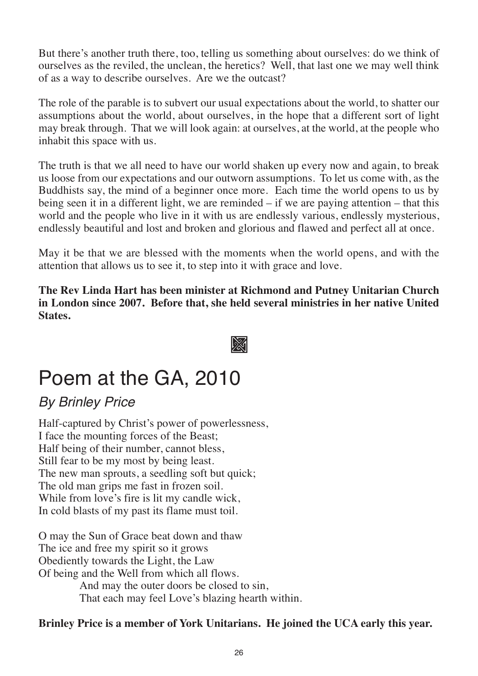But there's another truth there, too, telling us something about ourselves: do we think of ourselves as the reviled, the unclean, the heretics? Well, that last one we may well think of as a way to describe ourselves. Are we the outcast?

The role of the parable is to subvert our usual expectations about the world, to shatter our assumptions about the world, about ourselves, in the hope that a different sort of light may break through. That we will look again: at ourselves, at the world, at the people who inhabit this space with us.

The truth is that we all need to have our world shaken up every now and again, to break us loose from our expectations and our outworn assumptions. To let us come with, as the Buddhists say, the mind of a beginner once more. Each time the world opens to us by being seen it in a different light, we are reminded – if we are paying attention – that this world and the people who live in it with us are endlessly various, endlessly mysterious, endlessly beautiful and lost and broken and glorious and flawed and perfect all at once.

May it be that we are blessed with the moments when the world opens, and with the attention that allows us to see it, to step into it with grace and love.

**The Rev Linda Hart has been minister at Richmond and Putney Unitarian Church in London since 2007. Before that, she held several ministries in her native United States.**

m

### Poem at the GA, 2010

### *By Brinley Price*

Half-captured by Christ's power of powerlessness, I face the mounting forces of the Beast; Half being of their number, cannot bless, Still fear to be my most by being least. The new man sprouts, a seedling soft but quick; The old man grips me fast in frozen soil. While from love's fire is lit my candle wick, In cold blasts of my past its flame must toil.

O may the Sun of Grace beat down and thaw The ice and free my spirit so it grows Obediently towards the Light, the Law Of being and the Well from which all flows. And may the outer doors be closed to sin, That each may feel Love's blazing hearth within.

#### **Brinley Price is a member of York Unitarians. He joined the UCA early this year.**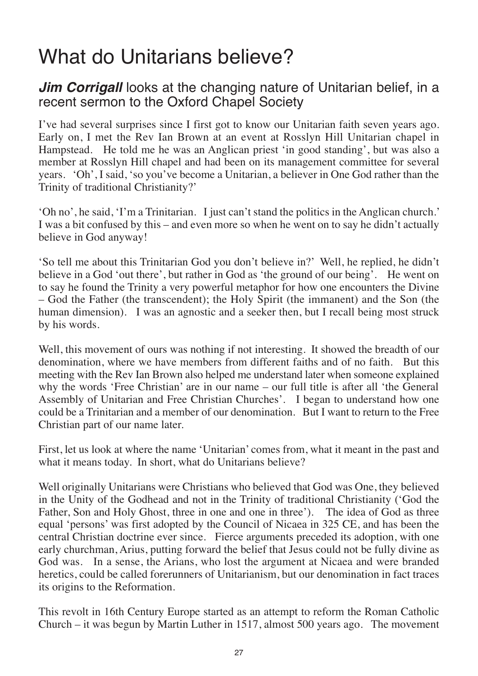## What do Unitarians believe?

### *Jim Corrigall* looks at the changing nature of Unitarian belief, in a recent sermon to the Oxford Chapel Society

I've had several surprises since I first got to know our Unitarian faith seven years ago. Early on, I met the Rev Ian Brown at an event at Rosslyn Hill Unitarian chapel in Hampstead. He told me he was an Anglican priest 'in good standing', but was also a member at Rosslyn Hill chapel and had been on its management committee for several years. 'Oh', I said, 'so you've become a Unitarian, a believer in One God rather than the Trinity of traditional Christianity?'

'Oh no', he said, 'I'm a Trinitarian. I just can't stand the politics in the Anglican church.' I was a bit confused by this – and even more so when he went on to say he didn't actually believe in God anyway!

'So tell me about this Trinitarian God you don't believe in?' Well, he replied, he didn't believe in a God 'out there', but rather in God as 'the ground of our being'. He went on to say he found the Trinity a very powerful metaphor for how one encounters the Divine – God the Father (the transcendent); the Holy Spirit (the immanent) and the Son (the human dimension). I was an agnostic and a seeker then, but I recall being most struck by his words.

Well, this movement of ours was nothing if not interesting. It showed the breadth of our denomination, where we have members from different faiths and of no faith. But this meeting with the Rev Ian Brown also helped me understand later when someone explained why the words 'Free Christian' are in our name – our full title is after all 'the General Assembly of Unitarian and Free Christian Churches'. I began to understand how one could be a Trinitarian and a member of our denomination. But I want to return to the Free Christian part of our name later.

First, let us look at where the name 'Unitarian' comes from, what it meant in the past and what it means today. In short, what do Unitarians believe?

Well originally Unitarians were Christians who believed that God was One, they believed in the Unity of the Godhead and not in the Trinity of traditional Christianity ('God the Father, Son and Holy Ghost, three in one and one in three'). The idea of God as three equal 'persons' was first adopted by the Council of Nicaea in 325 CE, and has been the central Christian doctrine ever since. Fierce arguments preceded its adoption, with one early churchman, Arius, putting forward the belief that Jesus could not be fully divine as God was. In a sense, the Arians, who lost the argument at Nicaea and were branded heretics, could be called forerunners of Unitarianism, but our denomination in fact traces its origins to the Reformation.

This revolt in 16th Century Europe started as an attempt to reform the Roman Catholic Church – it was begun by Martin Luther in 1517, almost 500 years ago. The movement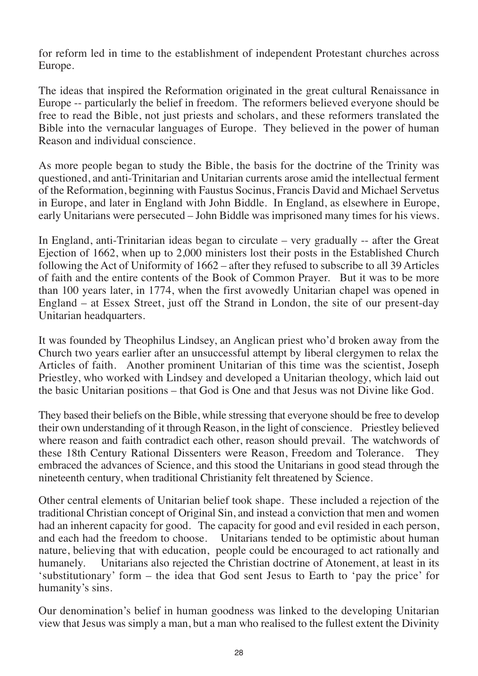for reform led in time to the establishment of independent Protestant churches across Europe.

The ideas that inspired the Reformation originated in the great cultural Renaissance in Europe -- particularly the belief in freedom. The reformers believed everyone should be free to read the Bible, not just priests and scholars, and these reformers translated the Bible into the vernacular languages of Europe. They believed in the power of human Reason and individual conscience.

As more people began to study the Bible, the basis for the doctrine of the Trinity was questioned, and anti-Trinitarian and Unitarian currents arose amid the intellectual ferment of the Reformation, beginning with Faustus Socinus, Francis David and Michael Servetus in Europe, and later in England with John Biddle. In England, as elsewhere in Europe, early Unitarians were persecuted – John Biddle was imprisoned many times for his views.

In England, anti-Trinitarian ideas began to circulate – very gradually -- after the Great Ejection of 1662, when up to 2,000 ministers lost their posts in the Established Church following the Act of Uniformity of 1662 – after they refused to subscribe to all 39 Articles of faith and the entire contents of the Book of Common Prayer. But it was to be more than 100 years later, in 1774, when the first avowedly Unitarian chapel was opened in England – at Essex Street, just off the Strand in London, the site of our present-day Unitarian headquarters.

It was founded by Theophilus Lindsey, an Anglican priest who'd broken away from the Church two years earlier after an unsuccessful attempt by liberal clergymen to relax the Articles of faith. Another prominent Unitarian of this time was the scientist, Joseph Priestley, who worked with Lindsey and developed a Unitarian theology, which laid out the basic Unitarian positions – that God is One and that Jesus was not Divine like God.

They based their beliefs on the Bible, while stressing that everyone should be free to develop their own understanding of it through Reason, in the light of conscience. Priestley believed where reason and faith contradict each other, reason should prevail. The watchwords of these 18th Century Rational Dissenters were Reason, Freedom and Tolerance. They embraced the advances of Science, and this stood the Unitarians in good stead through the nineteenth century, when traditional Christianity felt threatened by Science.

Other central elements of Unitarian belief took shape. These included a rejection of the traditional Christian concept of Original Sin, and instead a conviction that men and women had an inherent capacity for good. The capacity for good and evil resided in each person, and each had the freedom to choose. Unitarians tended to be optimistic about human nature, believing that with education, people could be encouraged to act rationally and humanely. Unitarians also rejected the Christian doctrine of Atonement, at least in its Unitarians also rejected the Christian doctrine of Atonement, at least in its 'substitutionary' form – the idea that God sent Jesus to Earth to 'pay the price' for humanity's sins.

Our denomination's belief in human goodness was linked to the developing Unitarian view that Jesus was simply a man, but a man who realised to the fullest extent the Divinity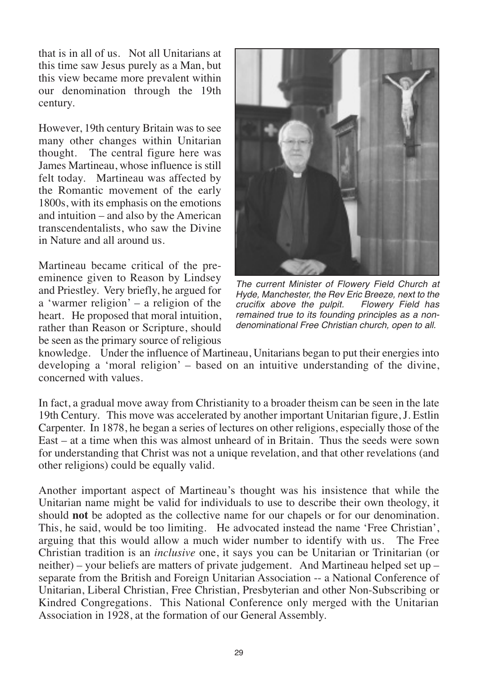that is in all of us. Not all Unitarians at this time saw Jesus purely as a Man, but this view became more prevalent within our denomination through the 19th century.

However, 19th century Britain was to see many other changes within Unitarian thought. The central figure here was James Martineau, whose influence is still felt today. Martineau was affected by the Romantic movement of the early 1800s, with its emphasis on the emotions and intuition – and also by the American transcendentalists, who saw the Divine in Nature and all around us.

Martineau became critical of the preeminence given to Reason by Lindsey and Priestley. Very briefly, he argued for a 'warmer religion' – a religion of the heart. He proposed that moral intuition, rather than Reason or Scripture, should be seen as the primary source of religious



*The current Minister of Flowery Field Church at Hyde, Manchester, the Rev Eric Breeze, next to the crucifix above the pulpit. remained true to its founding principles as a nondenominational Free Christian church, open to all.* 

knowledge. Under the influence of Martineau, Unitarians began to put their energies into developing a 'moral religion' – based on an intuitive understanding of the divine, concerned with values.

In fact, a gradual move away from Christianity to a broader theism can be seen in the late 19th Century. This move was accelerated by another important Unitarian figure, J. Estlin Carpenter. In 1878, he began a series of lectures on other religions, especially those of the East – at a time when this was almost unheard of in Britain. Thus the seeds were sown for understanding that Christ was not a unique revelation, and that other revelations (and other religions) could be equally valid.

Another important aspect of Martineau's thought was his insistence that while the Unitarian name might be valid for individuals to use to describe their own theology, it should **not** be adopted as the collective name for our chapels or for our denomination. This, he said, would be too limiting. He advocated instead the name 'Free Christian', arguing that this would allow a much wider number to identify with us. Christian tradition is an *inclusive* one, it says you can be Unitarian or Trinitarian (or neither) – your beliefs are matters of private judgement. And Martineau helped set up – separate from the British and Foreign Unitarian Association -- a National Conference of Unitarian, Liberal Christian, Free Christian, Presbyterian and other Non-Subscribing or Kindred Congregations. This National Conference only merged with the Unitarian Association in 1928, at the formation of our General Assembly.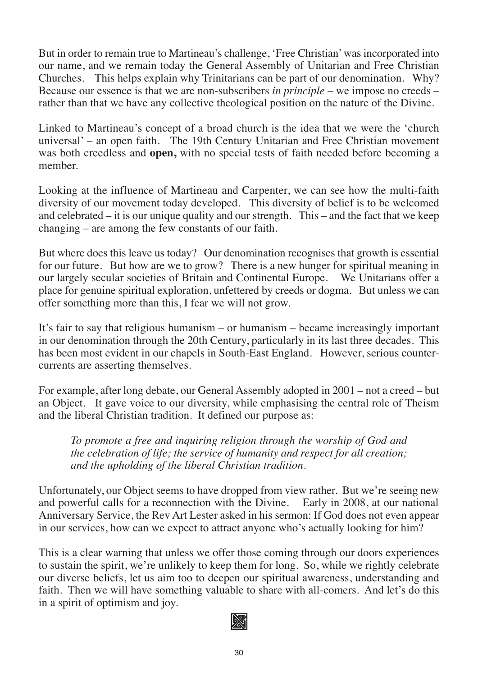But in order to remain true to Martineau's challenge, 'Free Christian' was incorporated into our name, and we remain today the General Assembly of Unitarian and Free Christian Churches. This helps explain why Trinitarians can be part of our denomination. Why? Because our essence is that we are non-subscribers *in principle* – we impose no creeds – rather than that we have any collective theological position on the nature of the Divine.

Linked to Martineau's concept of a broad church is the idea that we were the 'church universal' – an open faith. The 19th Century Unitarian and Free Christian movement was both creedless and **open,** with no special tests of faith needed before becoming a member.

Looking at the influence of Martineau and Carpenter, we can see how the multi-faith diversity of our movement today developed. This diversity of belief is to be welcomed and celebrated – it is our unique quality and our strength. This – and the fact that we keep changing – are among the few constants of our faith.

But where does this leave us today? Our denomination recognises that growth is essential for our future. But how are we to grow? There is a new hunger for spiritual meaning in our largely secular societies of Britain and Continental Europe. We Unitarians offer a place for genuine spiritual exploration, unfettered by creeds or dogma. But unless we can offer something more than this, I fear we will not grow.

It's fair to say that religious humanism – or humanism – became increasingly important in our denomination through the 20th Century, particularly in its last three decades. This has been most evident in our chapels in South-East England. However, serious countercurrents are asserting themselves.

For example, after long debate, our General Assembly adopted in 2001 – not a creed – but an Object. It gave voice to our diversity, while emphasising the central role of Theism and the liberal Christian tradition. It defined our purpose as:

*To promote a free and inquiring religion through the worship of God and the celebration of life; the service of humanity and respect for all creation; and the upholding of the liberal Christian tradition.*

Unfortunately, our Object seems to have dropped from view rather. But we're seeing new and powerful calls for a reconnection with the Divine. Early in 2008, at our national Anniversary Service, the Rev Art Lester asked in his sermon: If God does not even appear in our services, how can we expect to attract anyone who's actually looking for him?

This is a clear warning that unless we offer those coming through our doors experiences to sustain the spirit, we're unlikely to keep them for long. So, while we rightly celebrate our diverse beliefs, let us aim too to deepen our spiritual awareness, understanding and faith. Then we will have something valuable to share with all-comers. And let's do this in a spirit of optimism and joy.

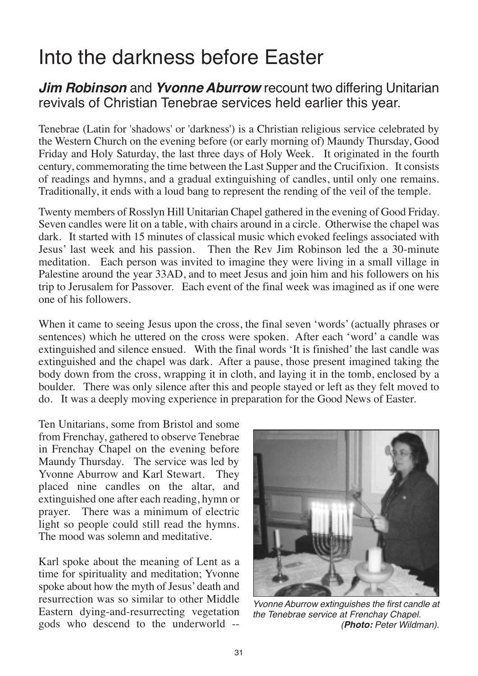### Into the darkness before Easter

*Jim Robinson* and *Yvonne Aburrow* recount two differing Unitarian revivals of Christian Tenebrae services held earlier this year.

Tenebrae (Latin for 'shadows' or 'darkness') is a Christian religious service celebrated by the Western Church on the evening before (or early morning of) Maundy Thursday, Good Friday and Holy Saturday, the last three days of Holy Week. It originated in the fourth century, commemorating the time between the Last Supper and the Crucifixion. It consists of readings and hymns, and a gradual extinguishing of candles, until only one remains. Traditionally, it ends with a loud bang to represent the rending of the veil of the temple.

Twenty members of Rosslyn Hill Unitarian Chapel gathered in the evening of Good Friday. Seven candles were lit on a table, with chairs around in a circle. Otherwise the chapel was dark. It started with 15 minutes of classical music which evoked feelings associated with Jesus' last week and his passion. Then the Rev Jim Robinson led the a 30-minute meditation. Each person was invited to imagine they were living in a small village in Palestine around the year 33AD, and to meet Jesus and join him and his followers on his trip to Jerusalem for Passover. Each event of the final week was imagined as if one were one of his followers.

When it came to seeing Jesus upon the cross, the final seven 'words' (actually phrases or sentences) which he uttered on the cross were spoken. After each 'word' a candle was extinguished and silence ensued. With the final words 'It is finished' the last candle was extinguished and the chapel was dark. After a pause, those present imagined taking the body down from the cross, wrapping it in cloth, and laying it in the tomb, enclosed by a boulder. There was only silence after this and people stayed or left as they felt moved to do. It was a deeply moving experience in preparation for the Good News of Easter.

Ten Unitarians, some from Bristol and some from Frenchay, gathered to observe Tenebrae in Frenchay Chapel on the evening before Maundy Thursday. The service was led by Yvonne Aburrow and Karl Stewart. They placed nine candles on the altar, and extinguished one after each reading, hymn or prayer. There was a minimum of electric light so people could still read the hymns. The mood was solemn and meditative.

Karl spoke about the meaning of Lent as a time for spirituality and meditation; Yvonne spoke about how the myth of Jesus' death and resurrection was so similar to other Middle Eastern dying-and-resurrecting vegetation gods who descend to the underworld --



*Yvonne Aburrow extinguishes the first candle at the Tenebrae service at Frenchay Chapel. (Photo: Peter Wildman).*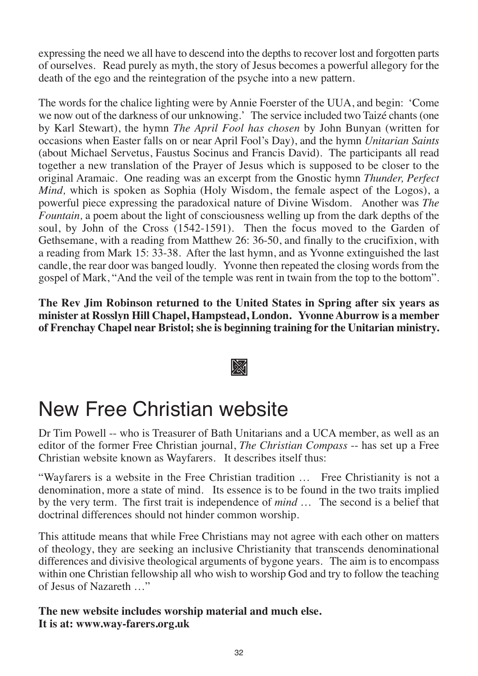expressing the need we all have to descend into the depths to recover lost and forgotten parts of ourselves. Read purely as myth, the story of Jesus becomes a powerful allegory for the death of the ego and the reintegration of the psyche into a new pattern.

The words for the chalice lighting were by Annie Foerster of the UUA, and begin: 'Come we now out of the darkness of our unknowing.' The service included two Taizé chants (one by Karl Stewart), the hymn *The April Fool has chosen* by John Bunyan (written for occasions when Easter falls on or near April Fool's Day), and the hymn *Unitarian Saints* (about Michael Servetus, Faustus Socinus and Francis David). The participants all read together a new translation of the Prayer of Jesus which is supposed to be closer to the original Aramaic. One reading was an excerpt from the Gnostic hymn *Thunder, Perfect Mind,* which is spoken as Sophia (Holy Wisdom, the female aspect of the Logos), a powerful piece expressing the paradoxical nature of Divine Wisdom. Another was *The Fountain,* a poem about the light of consciousness welling up from the dark depths of the soul, by John of the Cross (1542-1591). Then the focus moved to the Garden of Gethsemane, with a reading from Matthew 26: 36-50, and finally to the crucifixion, with a reading from Mark 15: 33-38. After the last hymn, and as Yvonne extinguished the last candle, the rear door was banged loudly. Yvonne then repeated the closing words from the gospel of Mark, "And the veil of the temple was rent in twain from the top to the bottom".

**The Rev Jim Robinson returned to the United States in Spring after six years as minister at Rosslyn Hill Chapel, Hampstead, London. Yvonne Aburrow is a member of Frenchay Chapel near Bristol; she is beginning training for the Unitarian ministry.**

### m

### New Free Christian website

Dr Tim Powell -- who is Treasurer of Bath Unitarians and a UCA member, as well as an editor of the former Free Christian journal, *The Christian Compass* -- has set up a Free Christian website known as Wayfarers. It describes itself thus:

"Wayfarers is a website in the Free Christian tradition … Free Christianity is not a denomination, more a state of mind. Its essence is to be found in the two traits implied by the very term. The first trait is independence of *mind …* The second is a belief that doctrinal differences should not hinder common worship.

This attitude means that while Free Christians may not agree with each other on matters of theology, they are seeking an inclusive Christianity that transcends denominational differences and divisive theological arguments of bygone years. The aim is to encompass within one Christian fellowship all who wish to worship God and try to follow the teaching of Jesus of Nazareth …"

**The new website includes worship material and much else. It is at: www.way-farers.org.uk**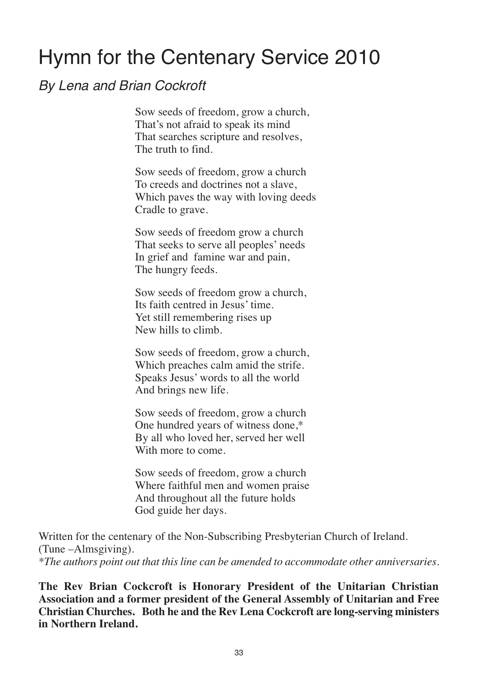### Hymn for the Centenary Service 2010

### *By Lena and Brian Cockroft*

Sow seeds of freedom, grow a church, That's not afraid to speak its mind That searches scripture and resolves, The truth to find.

Sow seeds of freedom, grow a church To creeds and doctrines not a slave, Which paves the way with loving deeds Cradle to grave.

Sow seeds of freedom grow a church That seeks to serve all peoples' needs In grief and famine war and pain, The hungry feeds.

Sow seeds of freedom grow a church, Its faith centred in Jesus' time. Yet still remembering rises up New hills to climb.

Sow seeds of freedom, grow a church, Which preaches calm amid the strife. Speaks Jesus' words to all the world And brings new life.

Sow seeds of freedom, grow a church One hundred years of witness done,\* By all who loved her, served her well With more to come.

Sow seeds of freedom, grow a church Where faithful men and women praise And throughout all the future holds God guide her days.

Written for the centenary of the Non-Subscribing Presbyterian Church of Ireland. (Tune –Almsgiving). *\*The authors point out that this line can be amended to accommodate other anniversaries.*

**The Rev Brian Cockcroft is Honorary President of the Unitarian Christian Association and a former president of the General Assembly of Unitarian and Free Christian Churches. Both he and the Rev Lena Cockcroft are long-serving ministers in Northern Ireland.**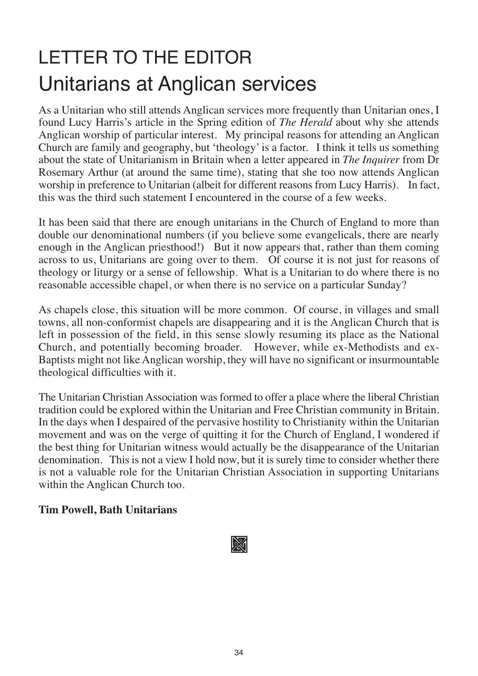## LETTER TO THE EDITOR Unitarians at Anglican services

As a Unitarian who still attends Anglican services more frequently than Unitarian ones, I found Lucy Harris's article in the Spring edition of *The Herald* about why she attends Anglican worship of particular interest. My principal reasons for attending an Anglican Church are family and geography, but 'theology' is a factor. I think it tells us something about the state of Unitarianism in Britain when a letter appeared in *The Inquirer* from Dr Rosemary Arthur (at around the same time), stating that she too now attends Anglican worship in preference to Unitarian (albeit for different reasons from Lucy Harris). In fact, this was the third such statement I encountered in the course of a few weeks.

It has been said that there are enough unitarians in the Church of England to more than double our denominational numbers (if you believe some evangelicals, there are nearly enough in the Anglican priesthood!) But it now appears that, rather than them coming across to us, Unitarians are going over to them. Of course it is not just for reasons of theology or liturgy or a sense of fellowship. What is a Unitarian to do where there is no reasonable accessible chapel, or when there is no service on a particular Sunday?

As chapels close, this situation will be more common. Of course, in villages and small towns, all non-conformist chapels are disappearing and it is the Anglican Church that is left in possession of the field, in this sense slowly resuming its place as the National Church, and potentially becoming broader. However, while ex-Methodists and ex-Baptists might not like Anglican worship, they will have no significant or insurmountable theological difficulties with it.

The Unitarian Christian Association was formed to offer a place where the liberal Christian tradition could be explored within the Unitarian and Free Christian community in Britain. In the days when I despaired of the pervasive hostility to Christianity within the Unitarian movement and was on the verge of quitting it for the Church of England, I wondered if the best thing for Unitarian witness would actually be the disappearance of the Unitarian denomination. This is not a view I hold now, but it is surely time to consider whether there is not a valuable role for the Unitarian Christian Association in supporting Unitarians within the Anglican Church too.

#### **Tim Powell, Bath Unitarians**

m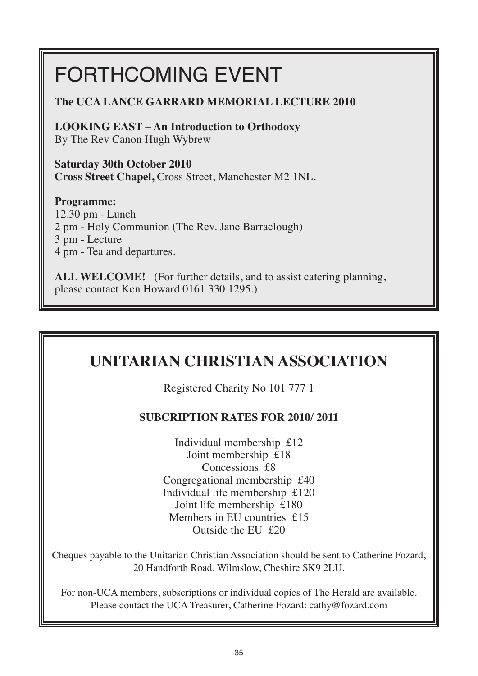## FORTHCOMING EVENT

#### **The UCA LANCE GARRARD MEMORIAL LECTURE 2010**

**LOOKING EAST – An Introduction to Orthodoxy** By The Rev Canon Hugh Wybrew

**Saturday 30th October 2010 Cross Street Chapel,** Cross Street, Manchester M2 1NL.

#### **Programme:**

12.30 pm - Lunch 2 pm - Holy Communion (The Rev. Jane Barraclough) 3 pm - Lecture 4 pm - Tea and departures.

**ALL WELCOME!** (For further details, and to assist catering planning, please contact Ken Howard 0161 330 1295.)

### **UNITARIAN CHRISTIAN ASSOCIATION**

Registered Charity No 101 777 1

#### **SUBCRIPTION RATES FOR 2010/ 2011**

Individual membership £12 Joint membership £18 Concessions £8 Congregational membership £40 Individual life membership £120 Joint life membership £180 Members in EU countries £15 Outside the EU £20

Cheques payable to the Unitarian Christian Association should be sent to Catherine Fozard, 20 Handforth Road, Wilmslow, Cheshire SK9 2LU.

For non-UCA members, subscriptions or individual copies of The Herald are available. Please contact the UCA Treasurer, Catherine Fozard: cathy@fozard.com